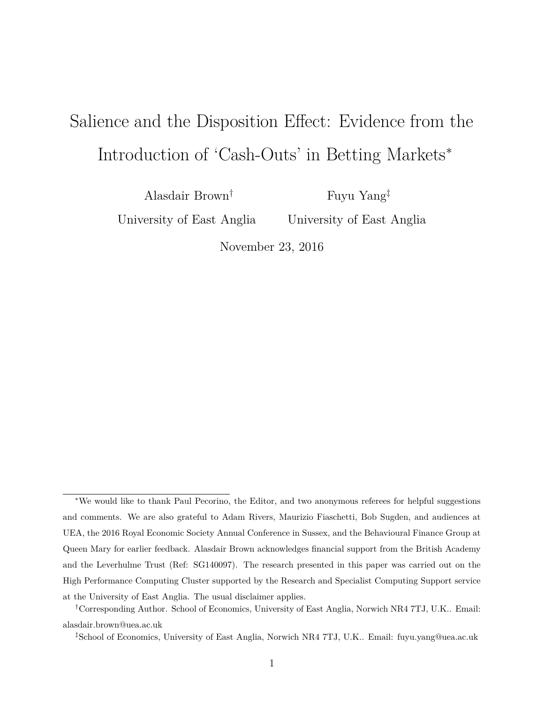# Salience and the Disposition Effect: Evidence from the Introduction of 'Cash-Outs' in Betting Markets<sup>∗</sup>

Alasdair Brown†

Fuyu Yang‡

University of East Anglia

University of East Anglia

November 23, 2016

<sup>∗</sup>We would like to thank Paul Pecorino, the Editor, and two anonymous referees for helpful suggestions and comments. We are also grateful to Adam Rivers, Maurizio Fiaschetti, Bob Sugden, and audiences at UEA, the 2016 Royal Economic Society Annual Conference in Sussex, and the Behavioural Finance Group at Queen Mary for earlier feedback. Alasdair Brown acknowledges financial support from the British Academy and the Leverhulme Trust (Ref: SG140097). The research presented in this paper was carried out on the High Performance Computing Cluster supported by the Research and Specialist Computing Support service at the University of East Anglia. The usual disclaimer applies.

<sup>†</sup>Corresponding Author. School of Economics, University of East Anglia, Norwich NR4 7TJ, U.K.. Email: alasdair.brown@uea.ac.uk

<sup>‡</sup>School of Economics, University of East Anglia, Norwich NR4 7TJ, U.K.. Email: fuyu.yang@uea.ac.uk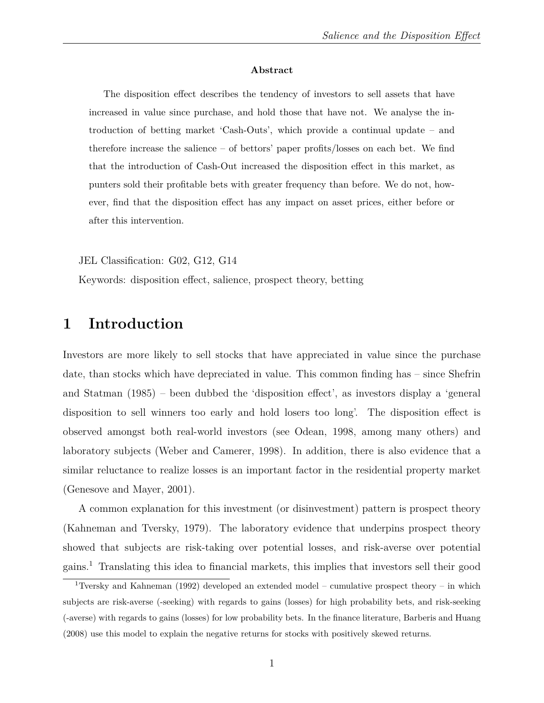#### **Abstract**

The disposition effect describes the tendency of investors to sell assets that have increased in value since purchase, and hold those that have not. We analyse the introduction of betting market 'Cash-Outs', which provide a continual update – and therefore increase the salience – of bettors' paper profits/losses on each bet. We find that the introduction of Cash-Out increased the disposition effect in this market, as punters sold their profitable bets with greater frequency than before. We do not, however, find that the disposition effect has any impact on asset prices, either before or after this intervention.

JEL Classification: G02, G12, G14

Keywords: disposition effect, salience, prospect theory, betting

#### **1 Introduction**

Investors are more likely to sell stocks that have appreciated in value since the purchase date, than stocks which have depreciated in value. This common finding has – since Shefrin and Statman (1985) – been dubbed the 'disposition effect', as investors display a 'general disposition to sell winners too early and hold losers too long'. The disposition effect is observed amongst both real-world investors (see Odean, 1998, among many others) and laboratory subjects (Weber and Camerer, 1998). In addition, there is also evidence that a similar reluctance to realize losses is an important factor in the residential property market (Genesove and Mayer, 2001).

A common explanation for this investment (or disinvestment) pattern is prospect theory (Kahneman and Tversky, 1979). The laboratory evidence that underpins prospect theory showed that subjects are risk-taking over potential losses, and risk-averse over potential gains.<sup>1</sup> Translating this idea to financial markets, this implies that investors sell their good

<sup>&</sup>lt;sup>1</sup>Tversky and Kahneman (1992) developed an extended model – cumulative prospect theory – in which subjects are risk-averse (-seeking) with regards to gains (losses) for high probability bets, and risk-seeking (-averse) with regards to gains (losses) for low probability bets. In the finance literature, Barberis and Huang (2008) use this model to explain the negative returns for stocks with positively skewed returns.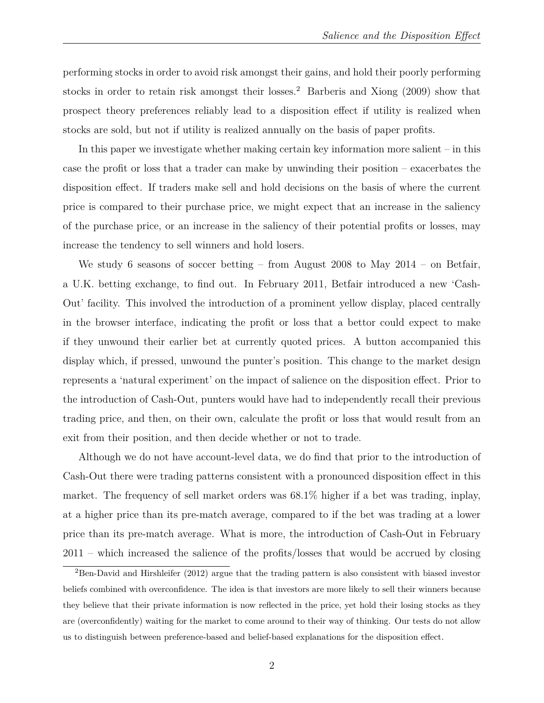performing stocks in order to avoid risk amongst their gains, and hold their poorly performing stocks in order to retain risk amongst their losses.<sup>2</sup> Barberis and Xiong  $(2009)$  show that prospect theory preferences reliably lead to a disposition effect if utility is realized when stocks are sold, but not if utility is realized annually on the basis of paper profits.

In this paper we investigate whether making certain key information more salient – in this case the profit or loss that a trader can make by unwinding their position – exacerbates the disposition effect. If traders make sell and hold decisions on the basis of where the current price is compared to their purchase price, we might expect that an increase in the saliency of the purchase price, or an increase in the saliency of their potential profits or losses, may increase the tendency to sell winners and hold losers.

We study 6 seasons of soccer betting – from August 2008 to May 2014 – on Betfair, a U.K. betting exchange, to find out. In February 2011, Betfair introduced a new 'Cash-Out' facility. This involved the introduction of a prominent yellow display, placed centrally in the browser interface, indicating the profit or loss that a bettor could expect to make if they unwound their earlier bet at currently quoted prices. A button accompanied this display which, if pressed, unwound the punter's position. This change to the market design represents a 'natural experiment' on the impact of salience on the disposition effect. Prior to the introduction of Cash-Out, punters would have had to independently recall their previous trading price, and then, on their own, calculate the profit or loss that would result from an exit from their position, and then decide whether or not to trade.

Although we do not have account-level data, we do find that prior to the introduction of Cash-Out there were trading patterns consistent with a pronounced disposition effect in this market. The frequency of sell market orders was 68.1% higher if a bet was trading, inplay, at a higher price than its pre-match average, compared to if the bet was trading at a lower price than its pre-match average. What is more, the introduction of Cash-Out in February 2011 – which increased the salience of the profits/losses that would be accrued by closing

<sup>2</sup>Ben-David and Hirshleifer (2012) argue that the trading pattern is also consistent with biased investor beliefs combined with overconfidence. The idea is that investors are more likely to sell their winners because they believe that their private information is now reflected in the price, yet hold their losing stocks as they are (overconfidently) waiting for the market to come around to their way of thinking. Our tests do not allow us to distinguish between preference-based and belief-based explanations for the disposition effect.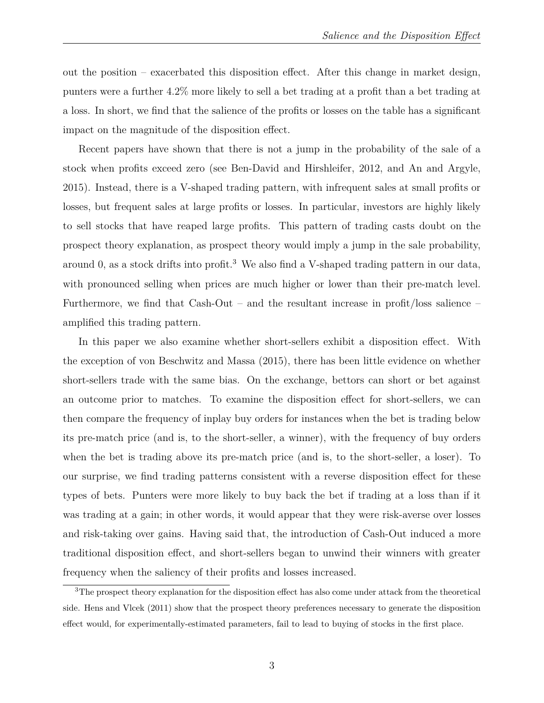out the position – exacerbated this disposition effect. After this change in market design, punters were a further 4.2% more likely to sell a bet trading at a profit than a bet trading at a loss. In short, we find that the salience of the profits or losses on the table has a significant impact on the magnitude of the disposition effect.

Recent papers have shown that there is not a jump in the probability of the sale of a stock when profits exceed zero (see Ben-David and Hirshleifer, 2012, and An and Argyle, 2015). Instead, there is a V-shaped trading pattern, with infrequent sales at small profits or losses, but frequent sales at large profits or losses. In particular, investors are highly likely to sell stocks that have reaped large profits. This pattern of trading casts doubt on the prospect theory explanation, as prospect theory would imply a jump in the sale probability, around 0, as a stock drifts into profit.<sup>3</sup> We also find a V-shaped trading pattern in our data, with pronounced selling when prices are much higher or lower than their pre-match level. Furthermore, we find that Cash-Out – and the resultant increase in profit/loss salience – amplified this trading pattern.

In this paper we also examine whether short-sellers exhibit a disposition effect. With the exception of von Beschwitz and Massa (2015), there has been little evidence on whether short-sellers trade with the same bias. On the exchange, bettors can short or bet against an outcome prior to matches. To examine the disposition effect for short-sellers, we can then compare the frequency of inplay buy orders for instances when the bet is trading below its pre-match price (and is, to the short-seller, a winner), with the frequency of buy orders when the bet is trading above its pre-match price (and is, to the short-seller, a loser). To our surprise, we find trading patterns consistent with a reverse disposition effect for these types of bets. Punters were more likely to buy back the bet if trading at a loss than if it was trading at a gain; in other words, it would appear that they were risk-averse over losses and risk-taking over gains. Having said that, the introduction of Cash-Out induced a more traditional disposition effect, and short-sellers began to unwind their winners with greater frequency when the saliency of their profits and losses increased.

<sup>&</sup>lt;sup>3</sup>The prospect theory explanation for the disposition effect has also come under attack from the theoretical side. Hens and Vlcek (2011) show that the prospect theory preferences necessary to generate the disposition effect would, for experimentally-estimated parameters, fail to lead to buying of stocks in the first place.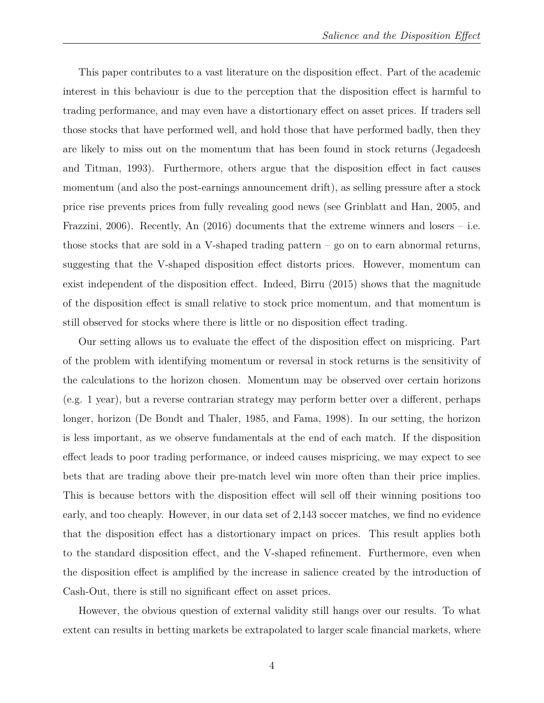This paper contributes to a vast literature on the disposition effect. Part of the academic interest in this behaviour is due to the perception that the disposition effect is harmful to trading performance, and may even have a distortionary effect on asset prices. If traders sell those stocks that have performed well, and hold those that have performed badly, then they are likely to miss out on the momentum that has been found in stock returns (Jegadeesh and Titman, 1993). Furthermore, others argue that the disposition effect in fact causes momentum (and also the post-earnings announcement drift), as selling pressure after a stock price rise prevents prices from fully revealing good news (see Grinblatt and Han, 2005, and Frazzini, 2006). Recently, An  $(2016)$  documents that the extreme winners and losers – i.e. those stocks that are sold in a V-shaped trading pattern  $-$  go on to earn abnormal returns, suggesting that the V-shaped disposition effect distorts prices. However, momentum can exist independent of the disposition effect. Indeed, Birru (2015) shows that the magnitude of the disposition effect is small relative to stock price momentum, and that momentum is still observed for stocks where there is little or no disposition effect trading.

Our setting allows us to evaluate the effect of the disposition effect on mispricing. Part of the problem with identifying momentum or reversal in stock returns is the sensitivity of the calculations to the horizon chosen. Momentum may be observed over certain horizons (e.g. 1 year), but a reverse contrarian strategy may perform better over a different, perhaps longer, horizon (De Bondt and Thaler, 1985, and Fama, 1998). In our setting, the horizon is less important, as we observe fundamentals at the end of each match. If the disposition effect leads to poor trading performance, or indeed causes mispricing, we may expect to see bets that are trading above their pre-match level win more often than their price implies. This is because bettors with the disposition effect will sell off their winning positions too early, and too cheaply. However, in our data set of 2,143 soccer matches, we find no evidence that the disposition effect has a distortionary impact on prices. This result applies both to the standard disposition effect, and the V-shaped refinement. Furthermore, even when the disposition effect is amplified by the increase in salience created by the introduction of Cash-Out, there is still no significant effect on asset prices.

However, the obvious question of external validity still hangs over our results. To what extent can results in betting markets be extrapolated to larger scale financial markets, where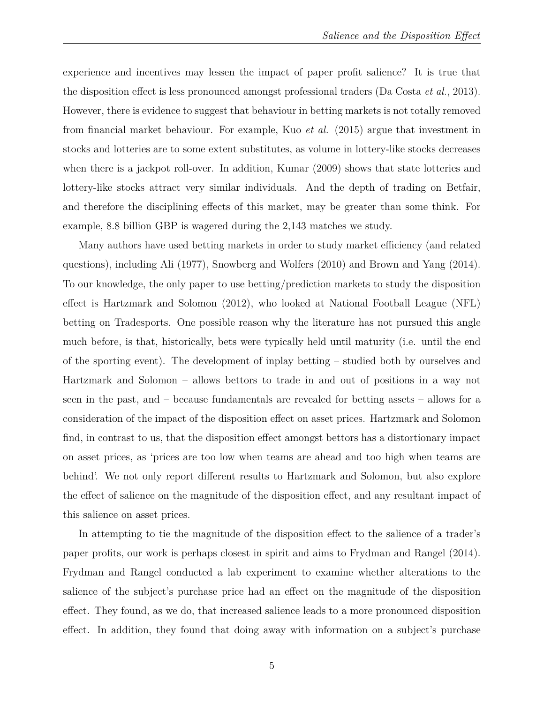experience and incentives may lessen the impact of paper profit salience? It is true that the disposition effect is less pronounced amongst professional traders (Da Costa *et al.*, 2013). However, there is evidence to suggest that behaviour in betting markets is not totally removed from financial market behaviour. For example, Kuo *et al.* (2015) argue that investment in stocks and lotteries are to some extent substitutes, as volume in lottery-like stocks decreases when there is a jackpot roll-over. In addition, Kumar (2009) shows that state lotteries and lottery-like stocks attract very similar individuals. And the depth of trading on Betfair, and therefore the disciplining effects of this market, may be greater than some think. For example, 8.8 billion GBP is wagered during the 2,143 matches we study.

Many authors have used betting markets in order to study market efficiency (and related questions), including Ali (1977), Snowberg and Wolfers (2010) and Brown and Yang (2014). To our knowledge, the only paper to use betting/prediction markets to study the disposition effect is Hartzmark and Solomon (2012), who looked at National Football League (NFL) betting on Tradesports. One possible reason why the literature has not pursued this angle much before, is that, historically, bets were typically held until maturity (i.e. until the end of the sporting event). The development of inplay betting – studied both by ourselves and Hartzmark and Solomon – allows bettors to trade in and out of positions in a way not seen in the past, and – because fundamentals are revealed for betting assets – allows for a consideration of the impact of the disposition effect on asset prices. Hartzmark and Solomon find, in contrast to us, that the disposition effect amongst bettors has a distortionary impact on asset prices, as 'prices are too low when teams are ahead and too high when teams are behind'. We not only report different results to Hartzmark and Solomon, but also explore the effect of salience on the magnitude of the disposition effect, and any resultant impact of this salience on asset prices.

In attempting to tie the magnitude of the disposition effect to the salience of a trader's paper profits, our work is perhaps closest in spirit and aims to Frydman and Rangel (2014). Frydman and Rangel conducted a lab experiment to examine whether alterations to the salience of the subject's purchase price had an effect on the magnitude of the disposition effect. They found, as we do, that increased salience leads to a more pronounced disposition effect. In addition, they found that doing away with information on a subject's purchase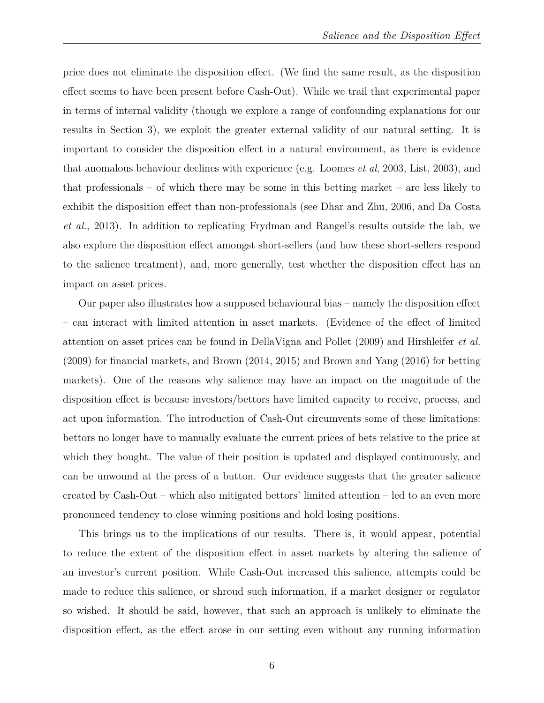price does not eliminate the disposition effect. (We find the same result, as the disposition effect seems to have been present before Cash-Out). While we trail that experimental paper in terms of internal validity (though we explore a range of confounding explanations for our results in Section 3), we exploit the greater external validity of our natural setting. It is important to consider the disposition effect in a natural environment, as there is evidence that anomalous behaviour declines with experience (e.g. Loomes *et al*, 2003, List, 2003), and that professionals – of which there may be some in this betting market – are less likely to exhibit the disposition effect than non-professionals (see Dhar and Zhu, 2006, and Da Costa *et al.*, 2013). In addition to replicating Frydman and Rangel's results outside the lab, we also explore the disposition effect amongst short-sellers (and how these short-sellers respond to the salience treatment), and, more generally, test whether the disposition effect has an impact on asset prices.

Our paper also illustrates how a supposed behavioural bias – namely the disposition effect – can interact with limited attention in asset markets. (Evidence of the effect of limited attention on asset prices can be found in DellaVigna and Pollet (2009) and Hirshleifer *et al.* (2009) for financial markets, and Brown (2014, 2015) and Brown and Yang (2016) for betting markets). One of the reasons why salience may have an impact on the magnitude of the disposition effect is because investors/bettors have limited capacity to receive, process, and act upon information. The introduction of Cash-Out circumvents some of these limitations: bettors no longer have to manually evaluate the current prices of bets relative to the price at which they bought. The value of their position is updated and displayed continuously, and can be unwound at the press of a button. Our evidence suggests that the greater salience created by Cash-Out – which also mitigated bettors' limited attention – led to an even more pronounced tendency to close winning positions and hold losing positions.

This brings us to the implications of our results. There is, it would appear, potential to reduce the extent of the disposition effect in asset markets by altering the salience of an investor's current position. While Cash-Out increased this salience, attempts could be made to reduce this salience, or shroud such information, if a market designer or regulator so wished. It should be said, however, that such an approach is unlikely to eliminate the disposition effect, as the effect arose in our setting even without any running information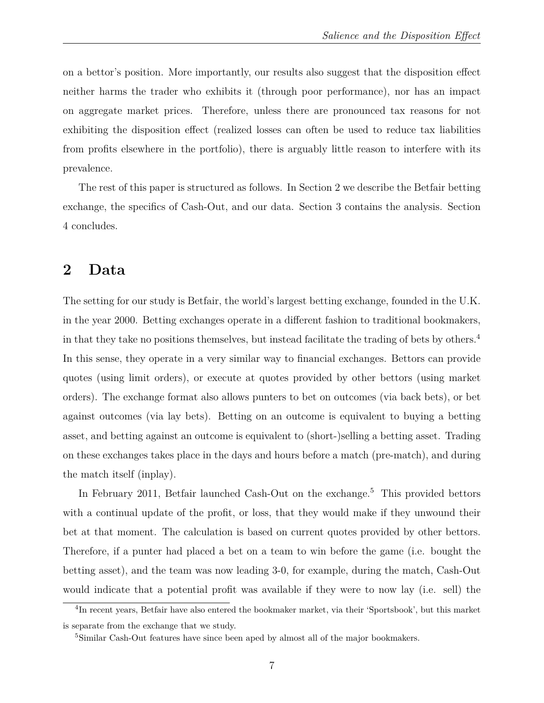on a bettor's position. More importantly, our results also suggest that the disposition effect neither harms the trader who exhibits it (through poor performance), nor has an impact on aggregate market prices. Therefore, unless there are pronounced tax reasons for not exhibiting the disposition effect (realized losses can often be used to reduce tax liabilities from profits elsewhere in the portfolio), there is arguably little reason to interfere with its prevalence.

The rest of this paper is structured as follows. In Section 2 we describe the Betfair betting exchange, the specifics of Cash-Out, and our data. Section 3 contains the analysis. Section 4 concludes.

#### **2 Data**

The setting for our study is Betfair, the world's largest betting exchange, founded in the U.K. in the year 2000. Betting exchanges operate in a different fashion to traditional bookmakers, in that they take no positions themselves, but instead facilitate the trading of bets by others.<sup>4</sup> In this sense, they operate in a very similar way to financial exchanges. Bettors can provide quotes (using limit orders), or execute at quotes provided by other bettors (using market orders). The exchange format also allows punters to bet on outcomes (via back bets), or bet against outcomes (via lay bets). Betting on an outcome is equivalent to buying a betting asset, and betting against an outcome is equivalent to (short-)selling a betting asset. Trading on these exchanges takes place in the days and hours before a match (pre-match), and during the match itself (inplay).

In February 2011, Betfair launched Cash-Out on the exchange.<sup>5</sup> This provided bettors with a continual update of the profit, or loss, that they would make if they unwound their bet at that moment. The calculation is based on current quotes provided by other bettors. Therefore, if a punter had placed a bet on a team to win before the game (i.e. bought the betting asset), and the team was now leading 3-0, for example, during the match, Cash-Out would indicate that a potential profit was available if they were to now lay (i.e. sell) the

<sup>&</sup>lt;sup>4</sup>In recent years, Betfair have also entered the bookmaker market, via their 'Sportsbook', but this market is separate from the exchange that we study.

<sup>5</sup>Similar Cash-Out features have since been aped by almost all of the major bookmakers.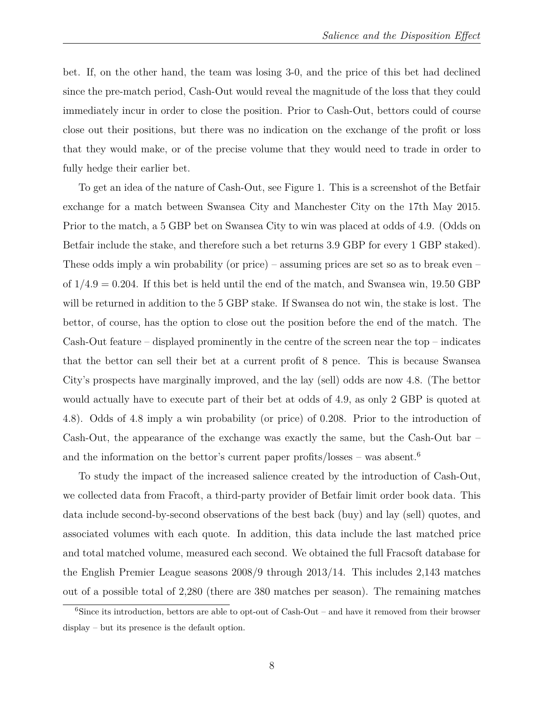bet. If, on the other hand, the team was losing 3-0, and the price of this bet had declined since the pre-match period, Cash-Out would reveal the magnitude of the loss that they could immediately incur in order to close the position. Prior to Cash-Out, bettors could of course close out their positions, but there was no indication on the exchange of the profit or loss that they would make, or of the precise volume that they would need to trade in order to fully hedge their earlier bet.

To get an idea of the nature of Cash-Out, see Figure 1. This is a screenshot of the Betfair exchange for a match between Swansea City and Manchester City on the 17th May 2015. Prior to the match, a 5 GBP bet on Swansea City to win was placed at odds of 4.9. (Odds on Betfair include the stake, and therefore such a bet returns 3.9 GBP for every 1 GBP staked). These odds imply a win probability (or price) – assuming prices are set so as to break even – of 1*/*4*.*9 = 0*.*204. If this bet is held until the end of the match, and Swansea win, 19.50 GBP will be returned in addition to the 5 GBP stake. If Swansea do not win, the stake is lost. The bettor, of course, has the option to close out the position before the end of the match. The Cash-Out feature – displayed prominently in the centre of the screen near the top – indicates that the bettor can sell their bet at a current profit of 8 pence. This is because Swansea City's prospects have marginally improved, and the lay (sell) odds are now 4.8. (The bettor would actually have to execute part of their bet at odds of 4.9, as only 2 GBP is quoted at 4.8). Odds of 4.8 imply a win probability (or price) of 0.208. Prior to the introduction of Cash-Out, the appearance of the exchange was exactly the same, but the Cash-Out bar – and the information on the bettor's current paper profits/losses – was absent.<sup>6</sup>

To study the impact of the increased salience created by the introduction of Cash-Out, we collected data from Fracoft, a third-party provider of Betfair limit order book data. This data include second-by-second observations of the best back (buy) and lay (sell) quotes, and associated volumes with each quote. In addition, this data include the last matched price and total matched volume, measured each second. We obtained the full Fracsoft database for the English Premier League seasons 2008/9 through 2013/14. This includes 2,143 matches out of a possible total of 2,280 (there are 380 matches per season). The remaining matches

 $6$ Since its introduction, bettors are able to opt-out of Cash-Out – and have it removed from their browser display – but its presence is the default option.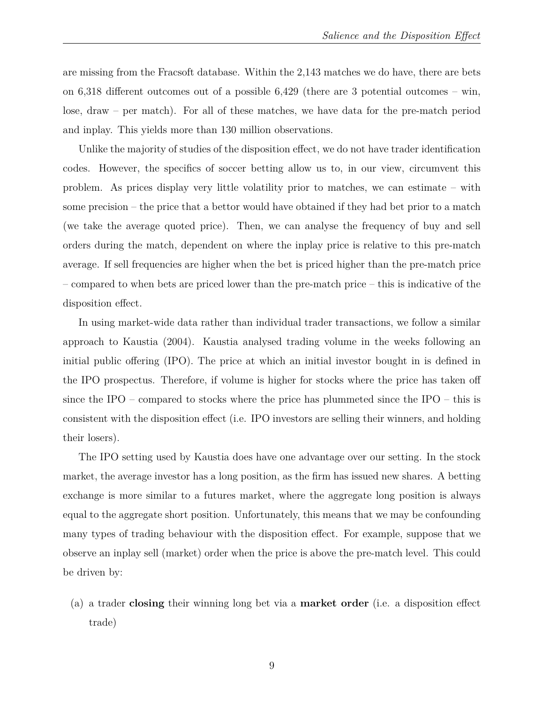are missing from the Fracsoft database. Within the 2,143 matches we do have, there are bets on 6,318 different outcomes out of a possible 6,429 (there are 3 potential outcomes – win, lose, draw – per match). For all of these matches, we have data for the pre-match period and inplay. This yields more than 130 million observations.

Unlike the majority of studies of the disposition effect, we do not have trader identification codes. However, the specifics of soccer betting allow us to, in our view, circumvent this problem. As prices display very little volatility prior to matches, we can estimate – with some precision – the price that a bettor would have obtained if they had bet prior to a match (we take the average quoted price). Then, we can analyse the frequency of buy and sell orders during the match, dependent on where the inplay price is relative to this pre-match average. If sell frequencies are higher when the bet is priced higher than the pre-match price – compared to when bets are priced lower than the pre-match price – this is indicative of the disposition effect.

In using market-wide data rather than individual trader transactions, we follow a similar approach to Kaustia (2004). Kaustia analysed trading volume in the weeks following an initial public offering (IPO). The price at which an initial investor bought in is defined in the IPO prospectus. Therefore, if volume is higher for stocks where the price has taken off since the IPO – compared to stocks where the price has plummeted since the IPO – this is consistent with the disposition effect (i.e. IPO investors are selling their winners, and holding their losers).

The IPO setting used by Kaustia does have one advantage over our setting. In the stock market, the average investor has a long position, as the firm has issued new shares. A betting exchange is more similar to a futures market, where the aggregate long position is always equal to the aggregate short position. Unfortunately, this means that we may be confounding many types of trading behaviour with the disposition effect. For example, suppose that we observe an inplay sell (market) order when the price is above the pre-match level. This could be driven by:

(a) a trader **closing** their winning long bet via a **market order** (i.e. a disposition effect trade)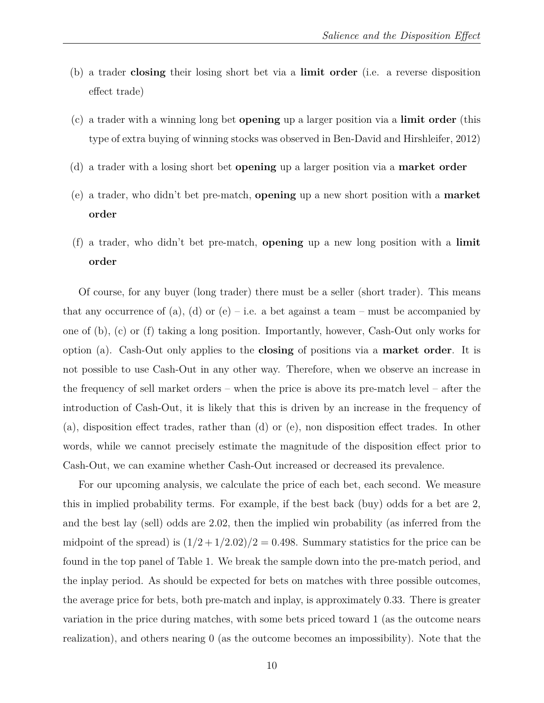- (b) a trader **closing** their losing short bet via a **limit order** (i.e. a reverse disposition effect trade)
- (c) a trader with a winning long bet **opening** up a larger position via a **limit order** (this type of extra buying of winning stocks was observed in Ben-David and Hirshleifer, 2012)
- (d) a trader with a losing short bet **opening** up a larger position via a **market order**
- (e) a trader, who didn't bet pre-match, **opening** up a new short position with a **market order**
- (f) a trader, who didn't bet pre-match, **opening** up a new long position with a **limit order**

Of course, for any buyer (long trader) there must be a seller (short trader). This means that any occurrence of (a), (d) or (e) – i.e. a bet against a team – must be accompanied by one of (b), (c) or (f) taking a long position. Importantly, however, Cash-Out only works for option (a). Cash-Out only applies to the **closing** of positions via a **market order**. It is not possible to use Cash-Out in any other way. Therefore, when we observe an increase in the frequency of sell market orders – when the price is above its pre-match level – after the introduction of Cash-Out, it is likely that this is driven by an increase in the frequency of (a), disposition effect trades, rather than (d) or (e), non disposition effect trades. In other words, while we cannot precisely estimate the magnitude of the disposition effect prior to Cash-Out, we can examine whether Cash-Out increased or decreased its prevalence.

For our upcoming analysis, we calculate the price of each bet, each second. We measure this in implied probability terms. For example, if the best back (buy) odds for a bet are 2, and the best lay (sell) odds are 2.02, then the implied win probability (as inferred from the midpoint of the spread) is  $\left(\frac{1}{2} + \frac{1}{2.02}\right)/2 = 0.498$ . Summary statistics for the price can be found in the top panel of Table 1. We break the sample down into the pre-match period, and the inplay period. As should be expected for bets on matches with three possible outcomes, the average price for bets, both pre-match and inplay, is approximately 0.33. There is greater variation in the price during matches, with some bets priced toward 1 (as the outcome nears realization), and others nearing 0 (as the outcome becomes an impossibility). Note that the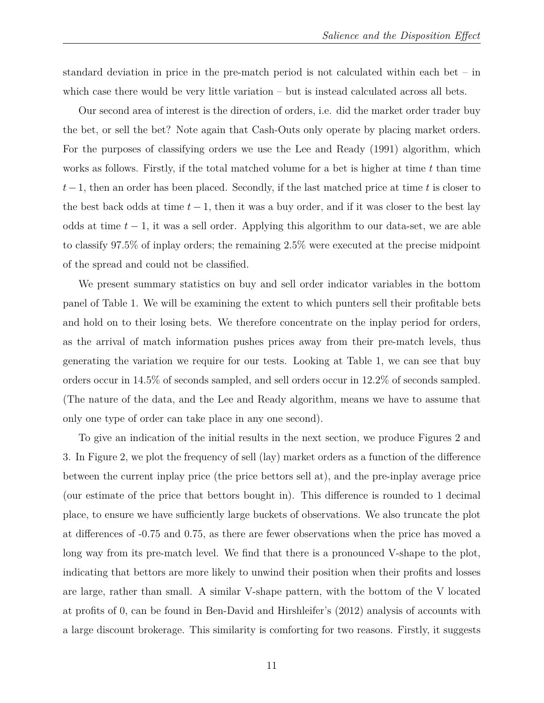standard deviation in price in the pre-match period is not calculated within each bet – in which case there would be very little variation – but is instead calculated across all bets.

Our second area of interest is the direction of orders, i.e. did the market order trader buy the bet, or sell the bet? Note again that Cash-Outs only operate by placing market orders. For the purposes of classifying orders we use the Lee and Ready (1991) algorithm, which works as follows. Firstly, if the total matched volume for a bet is higher at time *t* than time *t*−1, then an order has been placed. Secondly, if the last matched price at time *t* is closer to the best back odds at time  $t-1$ , then it was a buy order, and if it was closer to the best lay odds at time *t* − 1, it was a sell order. Applying this algorithm to our data-set, we are able to classify 97.5% of inplay orders; the remaining 2.5% were executed at the precise midpoint of the spread and could not be classified.

We present summary statistics on buy and sell order indicator variables in the bottom panel of Table 1. We will be examining the extent to which punters sell their profitable bets and hold on to their losing bets. We therefore concentrate on the inplay period for orders, as the arrival of match information pushes prices away from their pre-match levels, thus generating the variation we require for our tests. Looking at Table 1, we can see that buy orders occur in 14.5% of seconds sampled, and sell orders occur in 12.2% of seconds sampled. (The nature of the data, and the Lee and Ready algorithm, means we have to assume that only one type of order can take place in any one second).

To give an indication of the initial results in the next section, we produce Figures 2 and 3. In Figure 2, we plot the frequency of sell (lay) market orders as a function of the difference between the current inplay price (the price bettors sell at), and the pre-inplay average price (our estimate of the price that bettors bought in). This difference is rounded to 1 decimal place, to ensure we have sufficiently large buckets of observations. We also truncate the plot at differences of -0.75 and 0.75, as there are fewer observations when the price has moved a long way from its pre-match level. We find that there is a pronounced V-shape to the plot, indicating that bettors are more likely to unwind their position when their profits and losses are large, rather than small. A similar V-shape pattern, with the bottom of the V located at profits of 0, can be found in Ben-David and Hirshleifer's (2012) analysis of accounts with a large discount brokerage. This similarity is comforting for two reasons. Firstly, it suggests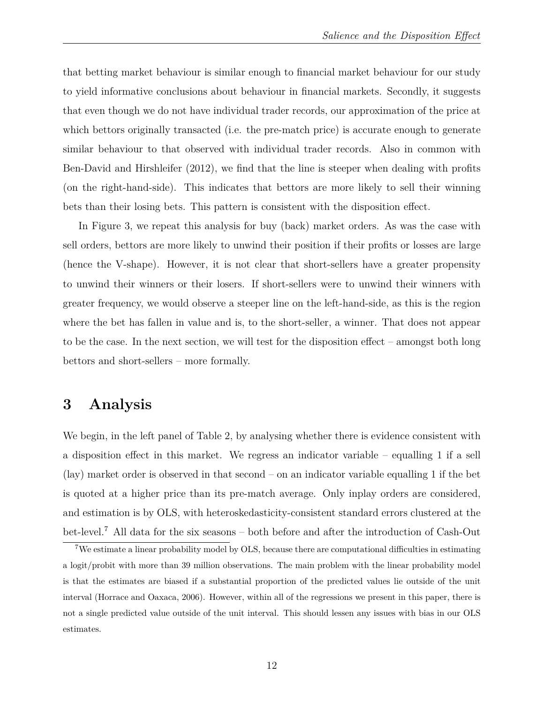that betting market behaviour is similar enough to financial market behaviour for our study to yield informative conclusions about behaviour in financial markets. Secondly, it suggests that even though we do not have individual trader records, our approximation of the price at which bettors originally transacted (i.e. the pre-match price) is accurate enough to generate similar behaviour to that observed with individual trader records. Also in common with Ben-David and Hirshleifer (2012), we find that the line is steeper when dealing with profits (on the right-hand-side). This indicates that bettors are more likely to sell their winning bets than their losing bets. This pattern is consistent with the disposition effect.

In Figure 3, we repeat this analysis for buy (back) market orders. As was the case with sell orders, bettors are more likely to unwind their position if their profits or losses are large (hence the V-shape). However, it is not clear that short-sellers have a greater propensity to unwind their winners or their losers. If short-sellers were to unwind their winners with greater frequency, we would observe a steeper line on the left-hand-side, as this is the region where the bet has fallen in value and is, to the short-seller, a winner. That does not appear to be the case. In the next section, we will test for the disposition effect – amongst both long bettors and short-sellers – more formally.

#### **3 Analysis**

We begin, in the left panel of Table 2, by analysing whether there is evidence consistent with a disposition effect in this market. We regress an indicator variable – equalling 1 if a sell (lay) market order is observed in that second – on an indicator variable equalling 1 if the bet is quoted at a higher price than its pre-match average. Only inplay orders are considered, and estimation is by OLS, with heteroskedasticity-consistent standard errors clustered at the bet-level.<sup>7</sup> All data for the six seasons – both before and after the introduction of Cash-Out

<sup>7</sup>We estimate a linear probability model by OLS, because there are computational difficulties in estimating a logit/probit with more than 39 million observations. The main problem with the linear probability model is that the estimates are biased if a substantial proportion of the predicted values lie outside of the unit interval (Horrace and Oaxaca, 2006). However, within all of the regressions we present in this paper, there is not a single predicted value outside of the unit interval. This should lessen any issues with bias in our OLS estimates.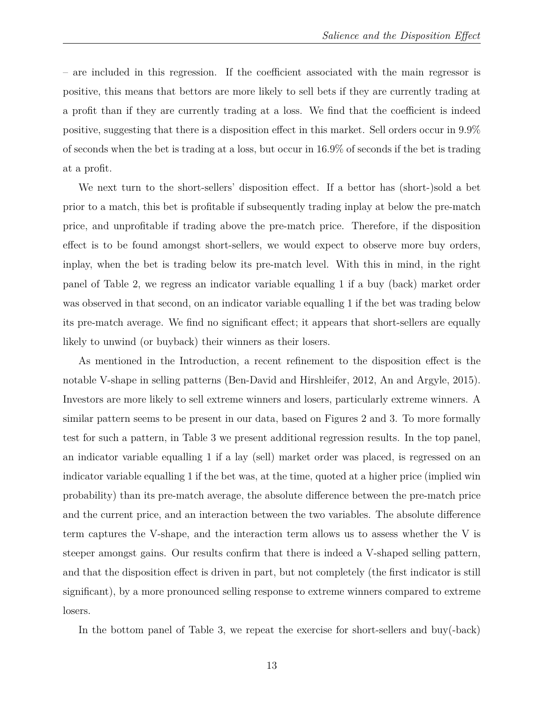– are included in this regression. If the coefficient associated with the main regressor is positive, this means that bettors are more likely to sell bets if they are currently trading at a profit than if they are currently trading at a loss. We find that the coefficient is indeed positive, suggesting that there is a disposition effect in this market. Sell orders occur in 9.9% of seconds when the bet is trading at a loss, but occur in 16.9% of seconds if the bet is trading at a profit.

We next turn to the short-sellers' disposition effect. If a bettor has (short-)sold a bet prior to a match, this bet is profitable if subsequently trading inplay at below the pre-match price, and unprofitable if trading above the pre-match price. Therefore, if the disposition effect is to be found amongst short-sellers, we would expect to observe more buy orders, inplay, when the bet is trading below its pre-match level. With this in mind, in the right panel of Table 2, we regress an indicator variable equalling 1 if a buy (back) market order was observed in that second, on an indicator variable equalling 1 if the bet was trading below its pre-match average. We find no significant effect; it appears that short-sellers are equally likely to unwind (or buyback) their winners as their losers.

As mentioned in the Introduction, a recent refinement to the disposition effect is the notable V-shape in selling patterns (Ben-David and Hirshleifer, 2012, An and Argyle, 2015). Investors are more likely to sell extreme winners and losers, particularly extreme winners. A similar pattern seems to be present in our data, based on Figures 2 and 3. To more formally test for such a pattern, in Table 3 we present additional regression results. In the top panel, an indicator variable equalling 1 if a lay (sell) market order was placed, is regressed on an indicator variable equalling 1 if the bet was, at the time, quoted at a higher price (implied win probability) than its pre-match average, the absolute difference between the pre-match price and the current price, and an interaction between the two variables. The absolute difference term captures the V-shape, and the interaction term allows us to assess whether the V is steeper amongst gains. Our results confirm that there is indeed a V-shaped selling pattern, and that the disposition effect is driven in part, but not completely (the first indicator is still significant), by a more pronounced selling response to extreme winners compared to extreme losers.

In the bottom panel of Table 3, we repeat the exercise for short-sellers and buy(-back)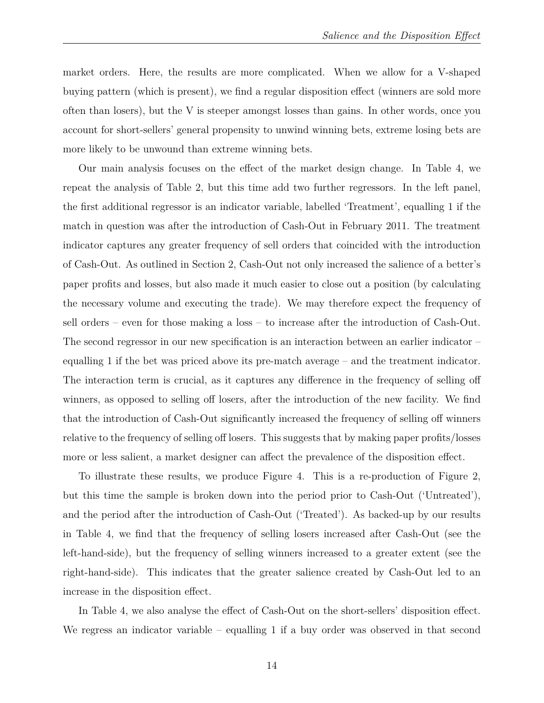market orders. Here, the results are more complicated. When we allow for a V-shaped buying pattern (which is present), we find a regular disposition effect (winners are sold more often than losers), but the V is steeper amongst losses than gains. In other words, once you account for short-sellers' general propensity to unwind winning bets, extreme losing bets are more likely to be unwound than extreme winning bets.

Our main analysis focuses on the effect of the market design change. In Table 4, we repeat the analysis of Table 2, but this time add two further regressors. In the left panel, the first additional regressor is an indicator variable, labelled 'Treatment', equalling 1 if the match in question was after the introduction of Cash-Out in February 2011. The treatment indicator captures any greater frequency of sell orders that coincided with the introduction of Cash-Out. As outlined in Section 2, Cash-Out not only increased the salience of a better's paper profits and losses, but also made it much easier to close out a position (by calculating the necessary volume and executing the trade). We may therefore expect the frequency of sell orders – even for those making a loss – to increase after the introduction of Cash-Out. The second regressor in our new specification is an interaction between an earlier indicator – equalling 1 if the bet was priced above its pre-match average – and the treatment indicator. The interaction term is crucial, as it captures any difference in the frequency of selling off winners, as opposed to selling off losers, after the introduction of the new facility. We find that the introduction of Cash-Out significantly increased the frequency of selling off winners relative to the frequency of selling off losers. This suggests that by making paper profits/losses more or less salient, a market designer can affect the prevalence of the disposition effect.

To illustrate these results, we produce Figure 4. This is a re-production of Figure 2, but this time the sample is broken down into the period prior to Cash-Out ('Untreated'), and the period after the introduction of Cash-Out ('Treated'). As backed-up by our results in Table 4, we find that the frequency of selling losers increased after Cash-Out (see the left-hand-side), but the frequency of selling winners increased to a greater extent (see the right-hand-side). This indicates that the greater salience created by Cash-Out led to an increase in the disposition effect.

In Table 4, we also analyse the effect of Cash-Out on the short-sellers' disposition effect. We regress an indicator variable – equalling 1 if a buy order was observed in that second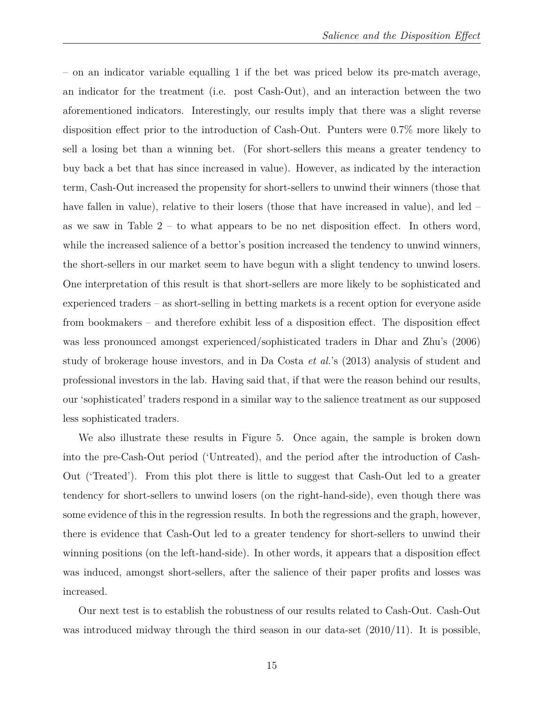– on an indicator variable equalling 1 if the bet was priced below its pre-match average, an indicator for the treatment (i.e. post Cash-Out), and an interaction between the two aforementioned indicators. Interestingly, our results imply that there was a slight reverse disposition effect prior to the introduction of Cash-Out. Punters were 0.7% more likely to sell a losing bet than a winning bet. (For short-sellers this means a greater tendency to buy back a bet that has since increased in value). However, as indicated by the interaction term, Cash-Out increased the propensity for short-sellers to unwind their winners (those that have fallen in value), relative to their losers (those that have increased in value), and led – as we saw in Table  $2 -$  to what appears to be no net disposition effect. In others word, while the increased salience of a bettor's position increased the tendency to unwind winners, the short-sellers in our market seem to have begun with a slight tendency to unwind losers. One interpretation of this result is that short-sellers are more likely to be sophisticated and experienced traders – as short-selling in betting markets is a recent option for everyone aside from bookmakers – and therefore exhibit less of a disposition effect. The disposition effect was less pronounced amongst experienced/sophisticated traders in Dhar and Zhu's (2006) study of brokerage house investors, and in Da Costa *et al.*'s (2013) analysis of student and professional investors in the lab. Having said that, if that were the reason behind our results, our 'sophisticated' traders respond in a similar way to the salience treatment as our supposed less sophisticated traders.

We also illustrate these results in Figure 5. Once again, the sample is broken down into the pre-Cash-Out period ('Untreated), and the period after the introduction of Cash-Out ('Treated'). From this plot there is little to suggest that Cash-Out led to a greater tendency for short-sellers to unwind losers (on the right-hand-side), even though there was some evidence of this in the regression results. In both the regressions and the graph, however, there is evidence that Cash-Out led to a greater tendency for short-sellers to unwind their winning positions (on the left-hand-side). In other words, it appears that a disposition effect was induced, amongst short-sellers, after the salience of their paper profits and losses was increased.

Our next test is to establish the robustness of our results related to Cash-Out. Cash-Out was introduced midway through the third season in our data-set (2010/11). It is possible,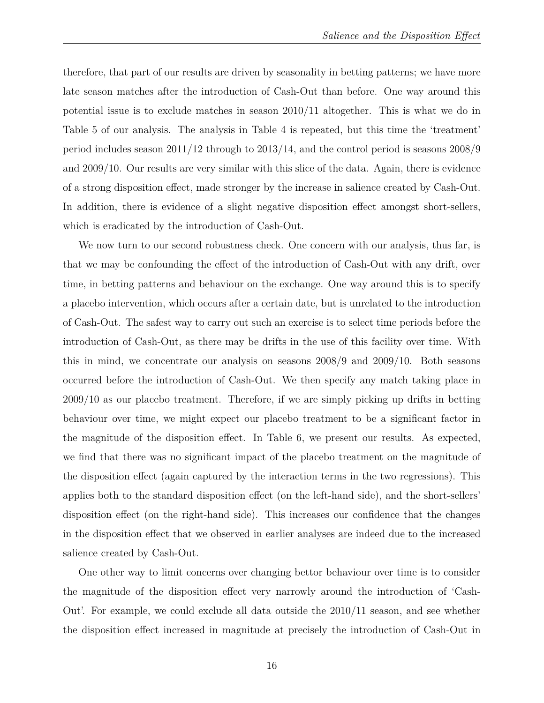therefore, that part of our results are driven by seasonality in betting patterns; we have more late season matches after the introduction of Cash-Out than before. One way around this potential issue is to exclude matches in season 2010/11 altogether. This is what we do in Table 5 of our analysis. The analysis in Table 4 is repeated, but this time the 'treatment' period includes season 2011/12 through to 2013/14, and the control period is seasons 2008/9 and 2009/10. Our results are very similar with this slice of the data. Again, there is evidence of a strong disposition effect, made stronger by the increase in salience created by Cash-Out. In addition, there is evidence of a slight negative disposition effect amongst short-sellers, which is eradicated by the introduction of Cash-Out.

We now turn to our second robustness check. One concern with our analysis, thus far, is that we may be confounding the effect of the introduction of Cash-Out with any drift, over time, in betting patterns and behaviour on the exchange. One way around this is to specify a placebo intervention, which occurs after a certain date, but is unrelated to the introduction of Cash-Out. The safest way to carry out such an exercise is to select time periods before the introduction of Cash-Out, as there may be drifts in the use of this facility over time. With this in mind, we concentrate our analysis on seasons 2008/9 and 2009/10. Both seasons occurred before the introduction of Cash-Out. We then specify any match taking place in 2009/10 as our placebo treatment. Therefore, if we are simply picking up drifts in betting behaviour over time, we might expect our placebo treatment to be a significant factor in the magnitude of the disposition effect. In Table 6, we present our results. As expected, we find that there was no significant impact of the placebo treatment on the magnitude of the disposition effect (again captured by the interaction terms in the two regressions). This applies both to the standard disposition effect (on the left-hand side), and the short-sellers' disposition effect (on the right-hand side). This increases our confidence that the changes in the disposition effect that we observed in earlier analyses are indeed due to the increased salience created by Cash-Out.

One other way to limit concerns over changing bettor behaviour over time is to consider the magnitude of the disposition effect very narrowly around the introduction of 'Cash-Out'. For example, we could exclude all data outside the 2010/11 season, and see whether the disposition effect increased in magnitude at precisely the introduction of Cash-Out in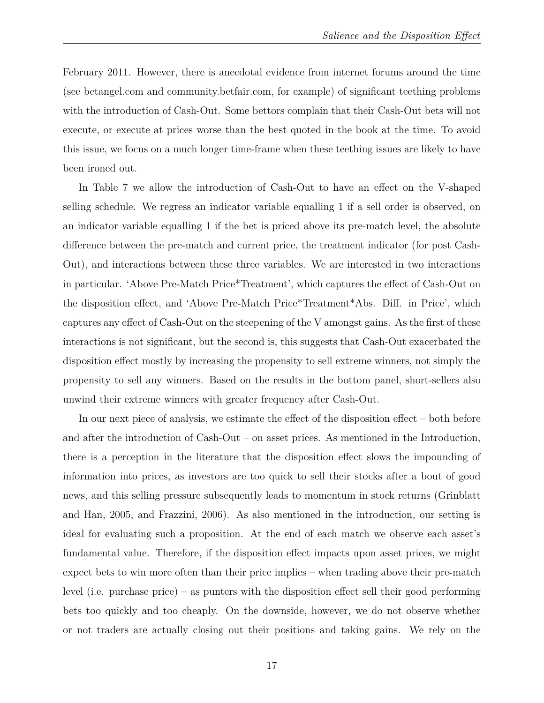February 2011. However, there is anecdotal evidence from internet forums around the time (see betangel.com and community.betfair.com, for example) of significant teething problems with the introduction of Cash-Out. Some bettors complain that their Cash-Out bets will not execute, or execute at prices worse than the best quoted in the book at the time. To avoid this issue, we focus on a much longer time-frame when these teething issues are likely to have been ironed out.

In Table 7 we allow the introduction of Cash-Out to have an effect on the V-shaped selling schedule. We regress an indicator variable equalling 1 if a sell order is observed, on an indicator variable equalling 1 if the bet is priced above its pre-match level, the absolute difference between the pre-match and current price, the treatment indicator (for post Cash-Out), and interactions between these three variables. We are interested in two interactions in particular. 'Above Pre-Match Price\*Treatment', which captures the effect of Cash-Out on the disposition effect, and 'Above Pre-Match Price\*Treatment\*Abs. Diff. in Price', which captures any effect of Cash-Out on the steepening of the V amongst gains. As the first of these interactions is not significant, but the second is, this suggests that Cash-Out exacerbated the disposition effect mostly by increasing the propensity to sell extreme winners, not simply the propensity to sell any winners. Based on the results in the bottom panel, short-sellers also unwind their extreme winners with greater frequency after Cash-Out.

In our next piece of analysis, we estimate the effect of the disposition effect – both before and after the introduction of Cash-Out – on asset prices. As mentioned in the Introduction, there is a perception in the literature that the disposition effect slows the impounding of information into prices, as investors are too quick to sell their stocks after a bout of good news, and this selling pressure subsequently leads to momentum in stock returns (Grinblatt and Han, 2005, and Frazzini, 2006). As also mentioned in the introduction, our setting is ideal for evaluating such a proposition. At the end of each match we observe each asset's fundamental value. Therefore, if the disposition effect impacts upon asset prices, we might expect bets to win more often than their price implies – when trading above their pre-match level (i.e. purchase price) – as punters with the disposition effect sell their good performing bets too quickly and too cheaply. On the downside, however, we do not observe whether or not traders are actually closing out their positions and taking gains. We rely on the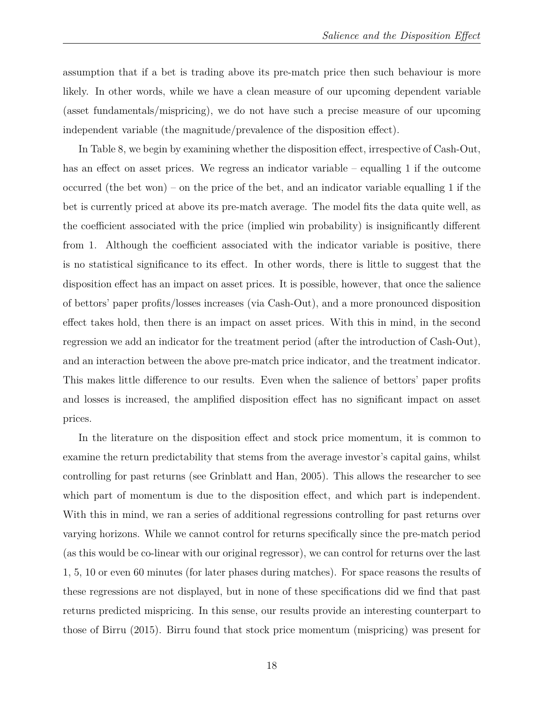assumption that if a bet is trading above its pre-match price then such behaviour is more likely. In other words, while we have a clean measure of our upcoming dependent variable (asset fundamentals/mispricing), we do not have such a precise measure of our upcoming independent variable (the magnitude/prevalence of the disposition effect).

In Table 8, we begin by examining whether the disposition effect, irrespective of Cash-Out, has an effect on asset prices. We regress an indicator variable – equalling 1 if the outcome occurred (the bet won) – on the price of the bet, and an indicator variable equalling 1 if the bet is currently priced at above its pre-match average. The model fits the data quite well, as the coefficient associated with the price (implied win probability) is insignificantly different from 1. Although the coefficient associated with the indicator variable is positive, there is no statistical significance to its effect. In other words, there is little to suggest that the disposition effect has an impact on asset prices. It is possible, however, that once the salience of bettors' paper profits/losses increases (via Cash-Out), and a more pronounced disposition effect takes hold, then there is an impact on asset prices. With this in mind, in the second regression we add an indicator for the treatment period (after the introduction of Cash-Out), and an interaction between the above pre-match price indicator, and the treatment indicator. This makes little difference to our results. Even when the salience of bettors' paper profits and losses is increased, the amplified disposition effect has no significant impact on asset prices.

In the literature on the disposition effect and stock price momentum, it is common to examine the return predictability that stems from the average investor's capital gains, whilst controlling for past returns (see Grinblatt and Han, 2005). This allows the researcher to see which part of momentum is due to the disposition effect, and which part is independent. With this in mind, we ran a series of additional regressions controlling for past returns over varying horizons. While we cannot control for returns specifically since the pre-match period (as this would be co-linear with our original regressor), we can control for returns over the last 1, 5, 10 or even 60 minutes (for later phases during matches). For space reasons the results of these regressions are not displayed, but in none of these specifications did we find that past returns predicted mispricing. In this sense, our results provide an interesting counterpart to those of Birru (2015). Birru found that stock price momentum (mispricing) was present for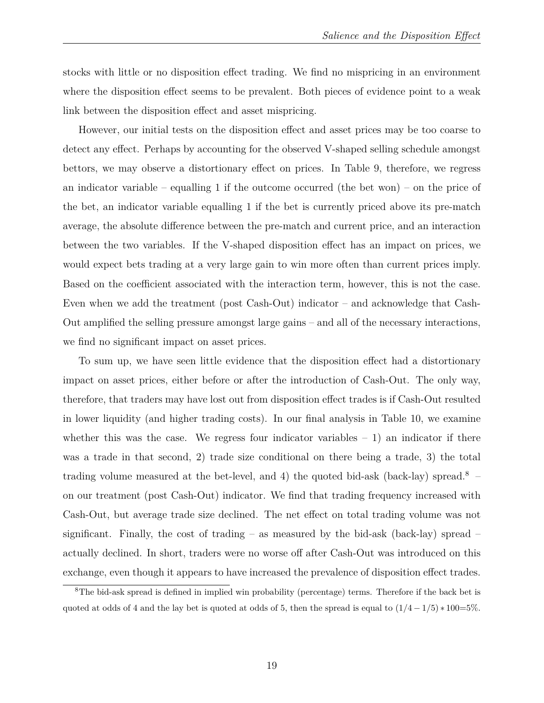stocks with little or no disposition effect trading. We find no mispricing in an environment where the disposition effect seems to be prevalent. Both pieces of evidence point to a weak link between the disposition effect and asset mispricing.

However, our initial tests on the disposition effect and asset prices may be too coarse to detect any effect. Perhaps by accounting for the observed V-shaped selling schedule amongst bettors, we may observe a distortionary effect on prices. In Table 9, therefore, we regress an indicator variable – equalling 1 if the outcome occurred (the bet won) – on the price of the bet, an indicator variable equalling 1 if the bet is currently priced above its pre-match average, the absolute difference between the pre-match and current price, and an interaction between the two variables. If the V-shaped disposition effect has an impact on prices, we would expect bets trading at a very large gain to win more often than current prices imply. Based on the coefficient associated with the interaction term, however, this is not the case. Even when we add the treatment (post Cash-Out) indicator – and acknowledge that Cash-Out amplified the selling pressure amongst large gains – and all of the necessary interactions, we find no significant impact on asset prices.

To sum up, we have seen little evidence that the disposition effect had a distortionary impact on asset prices, either before or after the introduction of Cash-Out. The only way, therefore, that traders may have lost out from disposition effect trades is if Cash-Out resulted in lower liquidity (and higher trading costs). In our final analysis in Table 10, we examine whether this was the case. We regress four indicator variables  $-1$ ) an indicator if there was a trade in that second, 2) trade size conditional on there being a trade, 3) the total trading volume measured at the bet-level, and 4) the quoted bid-ask (back-lay) spread.<sup>8</sup> – on our treatment (post Cash-Out) indicator. We find that trading frequency increased with Cash-Out, but average trade size declined. The net effect on total trading volume was not significant. Finally, the cost of trading – as measured by the bid-ask (back-lay) spread – actually declined. In short, traders were no worse off after Cash-Out was introduced on this exchange, even though it appears to have increased the prevalence of disposition effect trades.

<sup>8</sup>The bid-ask spread is defined in implied win probability (percentage) terms. Therefore if the back bet is quoted at odds of 4 and the lay bet is quoted at odds of 5, then the spread is equal to  $(1/4 - 1/5) * 100 = 5\%$ .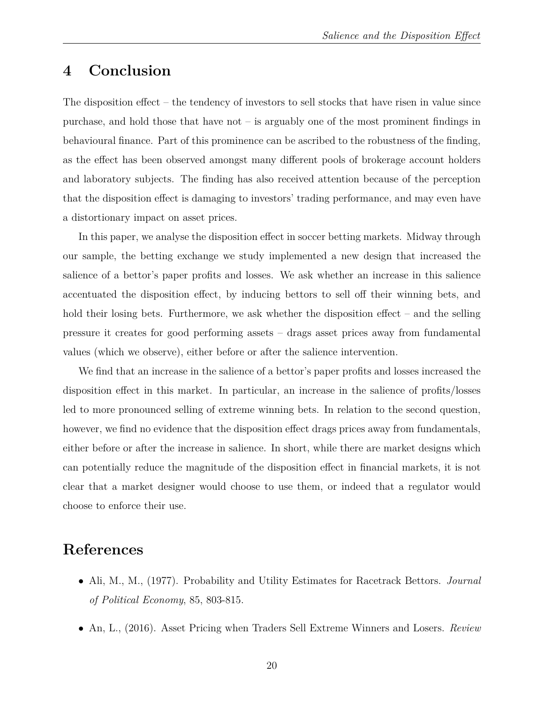### **4 Conclusion**

The disposition effect – the tendency of investors to sell stocks that have risen in value since purchase, and hold those that have not – is arguably one of the most prominent findings in behavioural finance. Part of this prominence can be ascribed to the robustness of the finding, as the effect has been observed amongst many different pools of brokerage account holders and laboratory subjects. The finding has also received attention because of the perception that the disposition effect is damaging to investors' trading performance, and may even have a distortionary impact on asset prices.

In this paper, we analyse the disposition effect in soccer betting markets. Midway through our sample, the betting exchange we study implemented a new design that increased the salience of a bettor's paper profits and losses. We ask whether an increase in this salience accentuated the disposition effect, by inducing bettors to sell off their winning bets, and hold their losing bets. Furthermore, we ask whether the disposition effect – and the selling pressure it creates for good performing assets – drags asset prices away from fundamental values (which we observe), either before or after the salience intervention.

We find that an increase in the salience of a bettor's paper profits and losses increased the disposition effect in this market. In particular, an increase in the salience of profits/losses led to more pronounced selling of extreme winning bets. In relation to the second question, however, we find no evidence that the disposition effect drags prices away from fundamentals, either before or after the increase in salience. In short, while there are market designs which can potentially reduce the magnitude of the disposition effect in financial markets, it is not clear that a market designer would choose to use them, or indeed that a regulator would choose to enforce their use.

#### **References**

- Ali, M., M., (1977). Probability and Utility Estimates for Racetrack Bettors. *Journal of Political Economy*, 85, 803-815.
- An, L., (2016). Asset Pricing when Traders Sell Extreme Winners and Losers. *Review*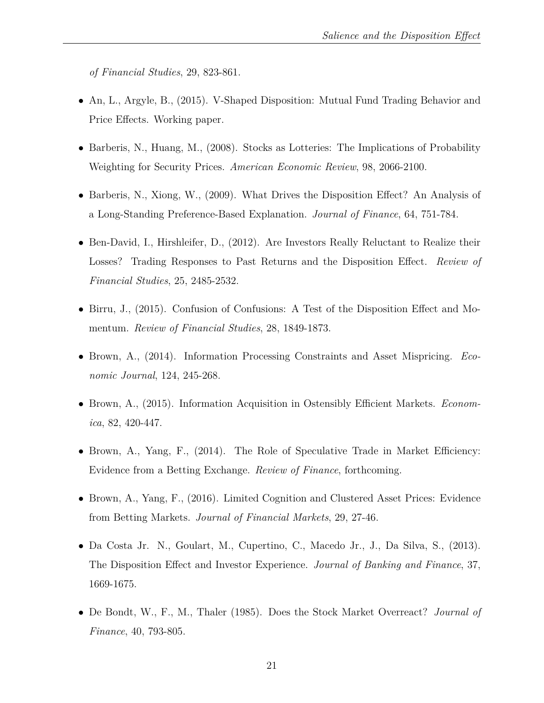*of Financial Studies*, 29, 823-861.

- An, L., Argyle, B., (2015). V-Shaped Disposition: Mutual Fund Trading Behavior and Price Effects. Working paper.
- Barberis, N., Huang, M., (2008). Stocks as Lotteries: The Implications of Probability Weighting for Security Prices. *American Economic Review*, 98, 2066-2100.
- Barberis, N., Xiong, W., (2009). What Drives the Disposition Effect? An Analysis of a Long-Standing Preference-Based Explanation. *Journal of Finance*, 64, 751-784.
- Ben-David, I., Hirshleifer, D., (2012). Are Investors Really Reluctant to Realize their Losses? Trading Responses to Past Returns and the Disposition Effect. *Review of Financial Studies*, 25, 2485-2532.
- Birru, J., (2015). Confusion of Confusions: A Test of the Disposition Effect and Momentum. *Review of Financial Studies*, 28, 1849-1873.
- Brown, A., (2014). Information Processing Constraints and Asset Mispricing. *Economic Journal*, 124, 245-268.
- Brown, A., (2015). Information Acquisition in Ostensibly Efficient Markets. *Economica*, 82, 420-447.
- Brown, A., Yang, F., (2014). The Role of Speculative Trade in Market Efficiency: Evidence from a Betting Exchange. *Review of Finance*, forthcoming.
- Brown, A., Yang, F., (2016). Limited Cognition and Clustered Asset Prices: Evidence from Betting Markets. *Journal of Financial Markets*, 29, 27-46.
- Da Costa Jr. N., Goulart, M., Cupertino, C., Macedo Jr., J., Da Silva, S., (2013). The Disposition Effect and Investor Experience. *Journal of Banking and Finance*, 37, 1669-1675.
- De Bondt, W., F., M., Thaler (1985). Does the Stock Market Overreact? *Journal of Finance*, 40, 793-805.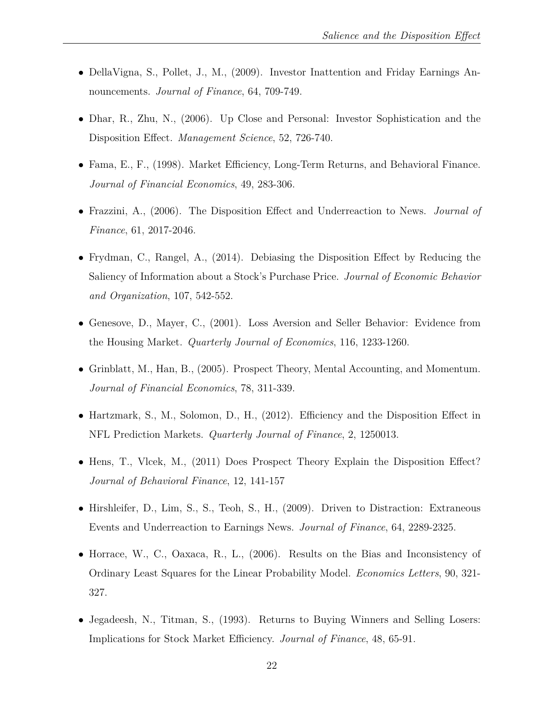- DellaVigna, S., Pollet, J., M., (2009). Investor Inattention and Friday Earnings Announcements. *Journal of Finance*, 64, 709-749.
- Dhar, R., Zhu, N., (2006). Up Close and Personal: Investor Sophistication and the Disposition Effect. *Management Science*, 52, 726-740.
- Fama, E., F., (1998). Market Efficiency, Long-Term Returns, and Behavioral Finance. *Journal of Financial Economics*, 49, 283-306.
- Frazzini, A., (2006). The Disposition Effect and Underreaction to News. *Journal of Finance*, 61, 2017-2046.
- Frydman, C., Rangel, A., (2014). Debiasing the Disposition Effect by Reducing the Saliency of Information about a Stock's Purchase Price. *Journal of Economic Behavior and Organization*, 107, 542-552.
- Genesove, D., Mayer, C., (2001). Loss Aversion and Seller Behavior: Evidence from the Housing Market. *Quarterly Journal of Economics*, 116, 1233-1260.
- Grinblatt, M., Han, B., (2005). Prospect Theory, Mental Accounting, and Momentum. *Journal of Financial Economics*, 78, 311-339.
- Hartzmark, S., M., Solomon, D., H., (2012). Efficiency and the Disposition Effect in NFL Prediction Markets. *Quarterly Journal of Finance*, 2, 1250013.
- Hens, T., Vlcek, M., (2011) Does Prospect Theory Explain the Disposition Effect? *Journal of Behavioral Finance*, 12, 141-157
- Hirshleifer, D., Lim, S., S., Teoh, S., H., (2009). Driven to Distraction: Extraneous Events and Underreaction to Earnings News. *Journal of Finance*, 64, 2289-2325.
- Horrace, W., C., Oaxaca, R., L., (2006). Results on the Bias and Inconsistency of Ordinary Least Squares for the Linear Probability Model. *Economics Letters*, 90, 321- 327.
- Jegadeesh, N., Titman, S., (1993). Returns to Buying Winners and Selling Losers: Implications for Stock Market Efficiency. *Journal of Finance*, 48, 65-91.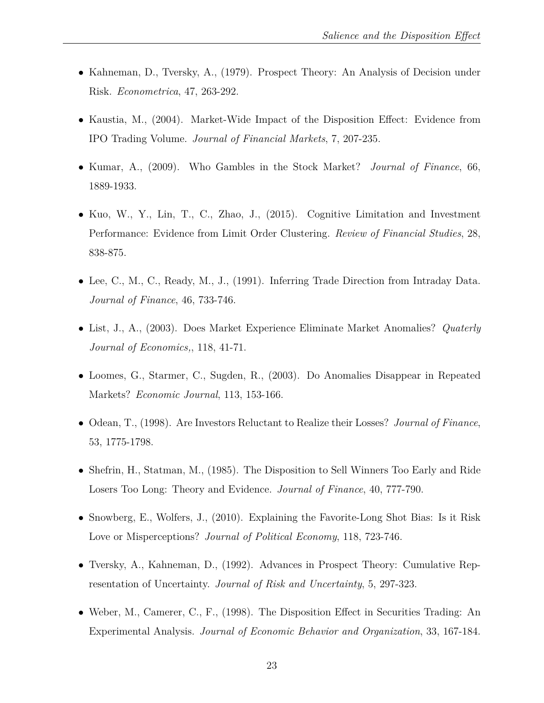- Kahneman, D., Tversky, A., (1979). Prospect Theory: An Analysis of Decision under Risk. *Econometrica*, 47, 263-292.
- Kaustia, M., (2004). Market-Wide Impact of the Disposition Effect: Evidence from IPO Trading Volume. *Journal of Financial Markets*, 7, 207-235.
- Kumar, A., (2009). Who Gambles in the Stock Market? *Journal of Finance*, 66, 1889-1933.
- Kuo, W., Y., Lin, T., C., Zhao, J., (2015). Cognitive Limitation and Investment Performance: Evidence from Limit Order Clustering. *Review of Financial Studies*, 28, 838-875.
- Lee, C., M., C., Ready, M., J., (1991). Inferring Trade Direction from Intraday Data. *Journal of Finance*, 46, 733-746.
- List, J., A., (2003). Does Market Experience Eliminate Market Anomalies? *Quaterly Journal of Economics,*, 118, 41-71.
- Loomes, G., Starmer, C., Sugden, R., (2003). Do Anomalies Disappear in Repeated Markets? *Economic Journal*, 113, 153-166.
- Odean, T., (1998). Are Investors Reluctant to Realize their Losses? *Journal of Finance*, 53, 1775-1798.
- Shefrin, H., Statman, M., (1985). The Disposition to Sell Winners Too Early and Ride Losers Too Long: Theory and Evidence. *Journal of Finance*, 40, 777-790.
- Snowberg, E., Wolfers, J., (2010). Explaining the Favorite-Long Shot Bias: Is it Risk Love or Misperceptions? *Journal of Political Economy*, 118, 723-746.
- Tversky, A., Kahneman, D., (1992). Advances in Prospect Theory: Cumulative Representation of Uncertainty. *Journal of Risk and Uncertainty*, 5, 297-323.
- Weber, M., Camerer, C., F., (1998). The Disposition Effect in Securities Trading: An Experimental Analysis. *Journal of Economic Behavior and Organization*, 33, 167-184.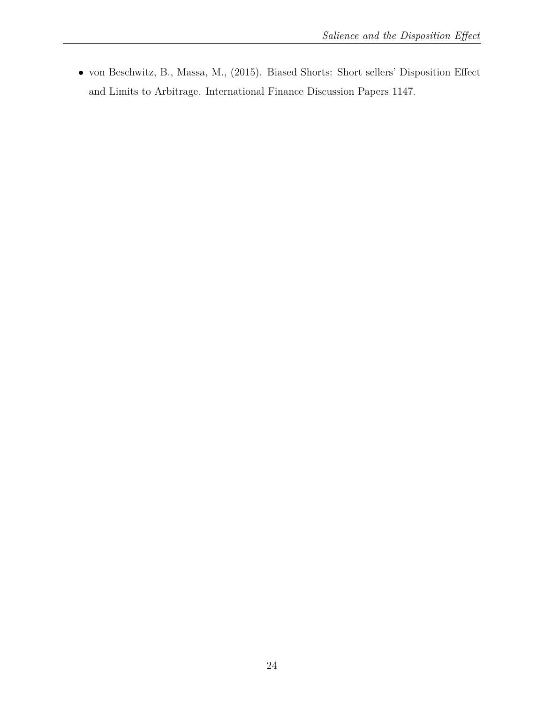• von Beschwitz, B., Massa, M., (2015). Biased Shorts: Short sellers' Disposition Effect and Limits to Arbitrage. International Finance Discussion Papers 1147.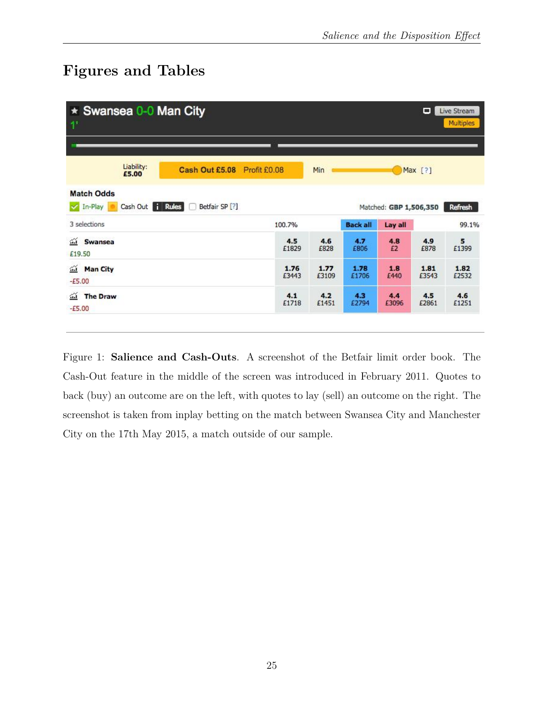## **Figures and Tables**

| Swansea 0-0 Man City<br>$\star$<br>Ŧ                                          |               |               |                 |                        | □             | Live Stream<br>Multiples |
|-------------------------------------------------------------------------------|---------------|---------------|-----------------|------------------------|---------------|--------------------------|
|                                                                               |               |               |                 |                        |               |                          |
| Liability:<br>Cash Out £5.08<br>£5.00                                         | Profit £0.08  | Min           |                 |                        | Max [?]       |                          |
| <b>Match Odds</b><br>Cash Out   Rules<br>Betfair SP <sup>[?]</sup><br>In-Play |               |               |                 | Matched: GBP 1,506,350 |               | Refresh                  |
| 3 selections                                                                  | 100.7%        |               | <b>Back all</b> | Lay all                |               | 99.1%                    |
| 4ú.<br>Swansea<br>£19.50                                                      | 4.5<br>£1829  | 4.6<br>£828   | 4.7<br>£806     | 4.8<br>E2              | 4.9<br>£878   | 5<br>£1399               |
| 益<br><b>Man City</b><br>$-£5.00$                                              | 1.76<br>£3443 | 1.77<br>£3109 | 1.78<br>£1706   | 1.8<br>£440            | 1.81<br>£3543 | 1.82<br>£2532            |
| 4ú<br><b>The Draw</b><br>$-E5.00$                                             | 4.1<br>£1718  | 4.2<br>£1451  | 4.3<br>£2794    | 4.4<br>£3096           | 4.5<br>£2861  | 4.6<br>£1251             |

Figure 1: **Salience and Cash-Outs**. A screenshot of the Betfair limit order book. The Cash-Out feature in the middle of the screen was introduced in February 2011. Quotes to back (buy) an outcome are on the left, with quotes to lay (sell) an outcome on the right. The screenshot is taken from inplay betting on the match between Swansea City and Manchester City on the 17th May 2015, a match outside of our sample.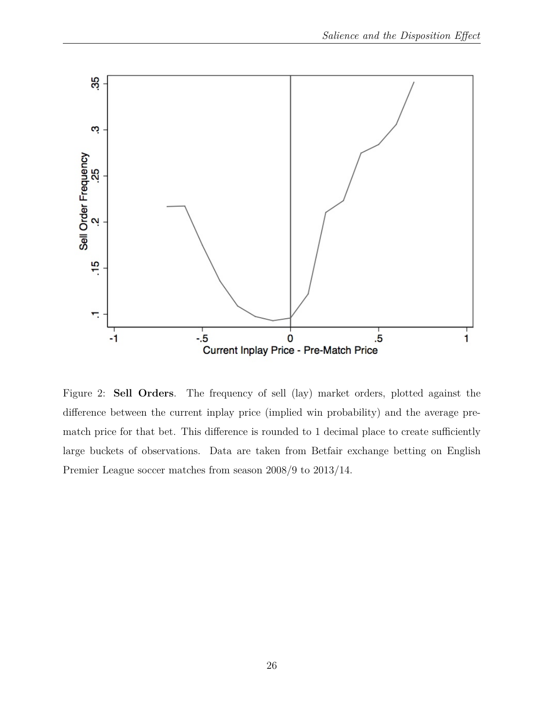

Figure 2: **Sell Orders**. The frequency of sell (lay) market orders, plotted against the difference between the current inplay price (implied win probability) and the average prematch price for that bet. This difference is rounded to 1 decimal place to create sufficiently large buckets of observations. Data are taken from Betfair exchange betting on English Premier League soccer matches from season 2008/9 to 2013/14.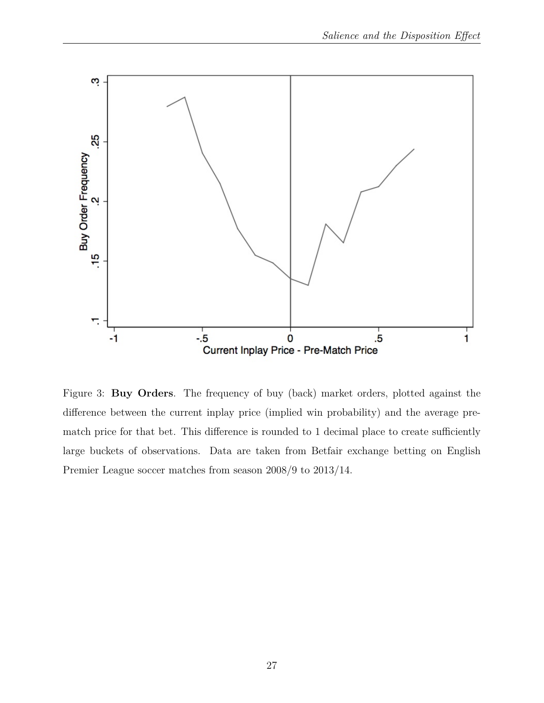

Figure 3: **Buy Orders**. The frequency of buy (back) market orders, plotted against the difference between the current inplay price (implied win probability) and the average prematch price for that bet. This difference is rounded to 1 decimal place to create sufficiently large buckets of observations. Data are taken from Betfair exchange betting on English Premier League soccer matches from season 2008/9 to 2013/14.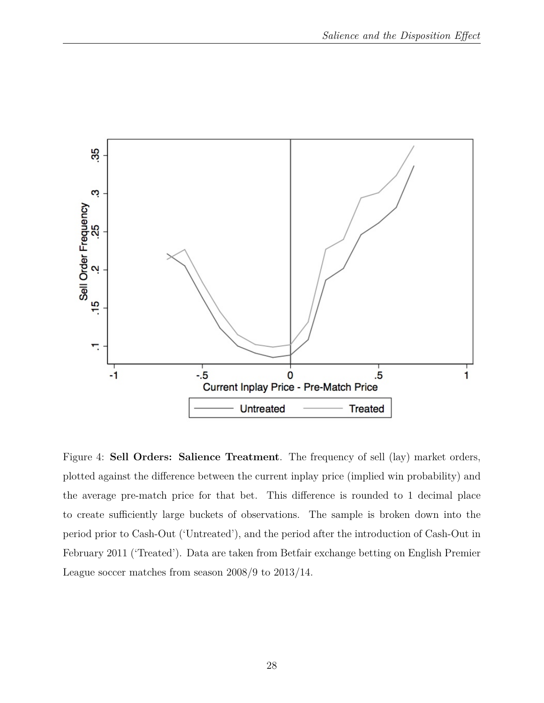

Figure 4: **Sell Orders: Salience Treatment**. The frequency of sell (lay) market orders, plotted against the difference between the current inplay price (implied win probability) and the average pre-match price for that bet. This difference is rounded to 1 decimal place to create sufficiently large buckets of observations. The sample is broken down into the period prior to Cash-Out ('Untreated'), and the period after the introduction of Cash-Out in February 2011 ('Treated'). Data are taken from Betfair exchange betting on English Premier League soccer matches from season 2008/9 to 2013/14.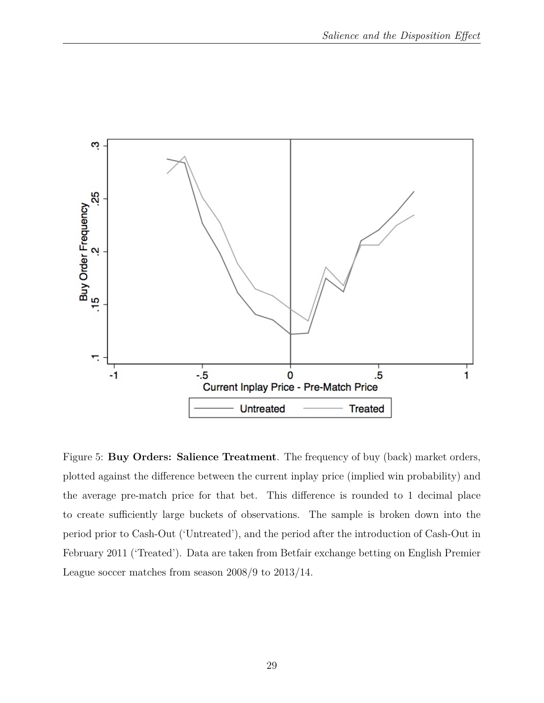

Figure 5: **Buy Orders: Salience Treatment**. The frequency of buy (back) market orders, plotted against the difference between the current inplay price (implied win probability) and the average pre-match price for that bet. This difference is rounded to 1 decimal place to create sufficiently large buckets of observations. The sample is broken down into the period prior to Cash-Out ('Untreated'), and the period after the introduction of Cash-Out in February 2011 ('Treated'). Data are taken from Betfair exchange betting on English Premier League soccer matches from season 2008/9 to 2013/14.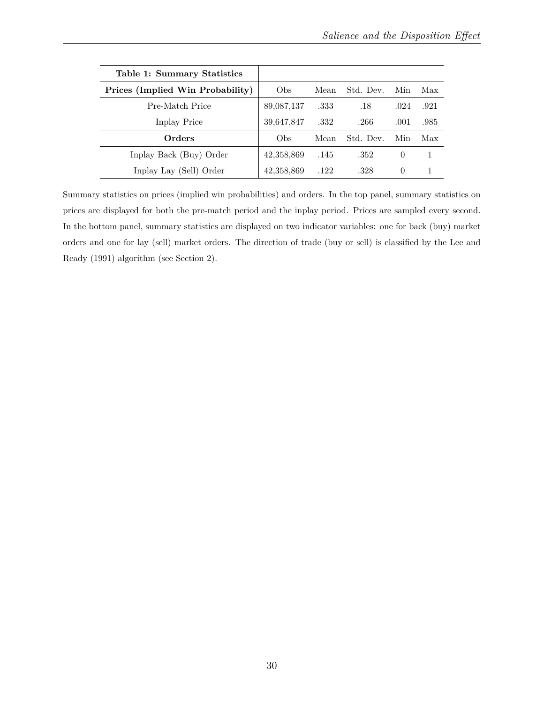| Table 1: Summary Statistics      |            |      |           |          |      |
|----------------------------------|------------|------|-----------|----------|------|
| Prices (Implied Win Probability) | Obs        | Mean | Std. Dev. | Min      | Max  |
| Pre-Match Price                  | 89,087,137 | .333 | .18       | .024     | .921 |
| Inplay Price                     | 39,647,847 | .332 | .266      | .001     | .985 |
| <b>Orders</b>                    | Obs        | Mean | Std. Dev. | Min      | Max  |
| Inplay Back (Buy) Order          | 42,358,869 | .145 | .352      | $\theta$ | 1    |
| Inplay Lay (Sell) Order          | 42,358,869 | .122 | .328      | $\theta$ |      |

Summary statistics on prices (implied win probabilities) and orders. In the top panel, summary statistics on prices are displayed for both the pre-match period and the inplay period. Prices are sampled every second. In the bottom panel, summary statistics are displayed on two indicator variables: one for back (buy) market orders and one for lay (sell) market orders. The direction of trade (buy or sell) is classified by the Lee and Ready (1991) algorithm (see Section 2).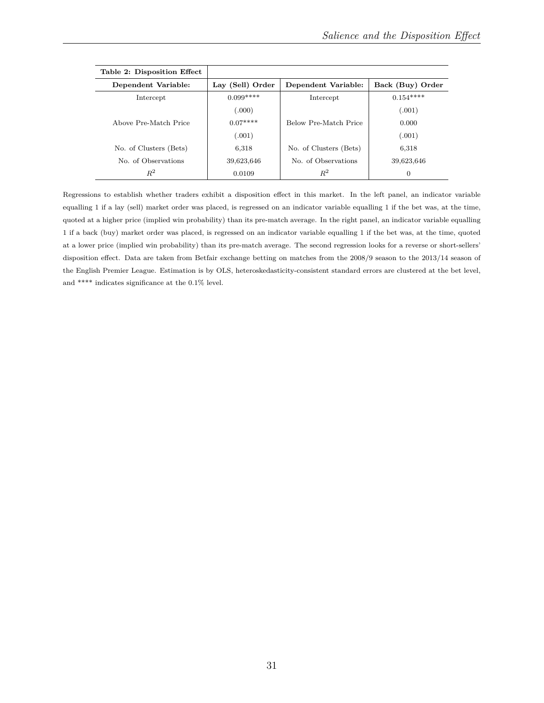| Table 2: Disposition Effect |                  |                        |                  |
|-----------------------------|------------------|------------------------|------------------|
| Dependent Variable:         | Lay (Sell) Order | Dependent Variable:    | Back (Buy) Order |
| Intercept                   | $0.099***$       | Intercept              | $0.154***$       |
|                             | (.000)           |                        | (.001)           |
| Above Pre-Match Price       | $0.07***$        | Below Pre-Match Price  | 0.000            |
|                             | (.001)           |                        | (.001)           |
| No. of Clusters (Bets)      | 6.318            | No. of Clusters (Bets) | 6,318            |
| No. of Observations         | 39,623,646       | No. of Observations    | 39,623,646       |
| $R^2$                       | 0.0109           | $\,R^2$                | $\overline{0}$   |

Regressions to establish whether traders exhibit a disposition effect in this market. In the left panel, an indicator variable equalling 1 if a lay (sell) market order was placed, is regressed on an indicator variable equalling 1 if the bet was, at the time, quoted at a higher price (implied win probability) than its pre-match average. In the right panel, an indicator variable equalling 1 if a back (buy) market order was placed, is regressed on an indicator variable equalling 1 if the bet was, at the time, quoted at a lower price (implied win probability) than its pre-match average. The second regression looks for a reverse or short-sellers' disposition effect. Data are taken from Betfair exchange betting on matches from the 2008/9 season to the 2013/14 season of the English Premier League. Estimation is by OLS, heteroskedasticity-consistent standard errors are clustered at the bet level, and \*\*\*\* indicates significance at the 0.1% level.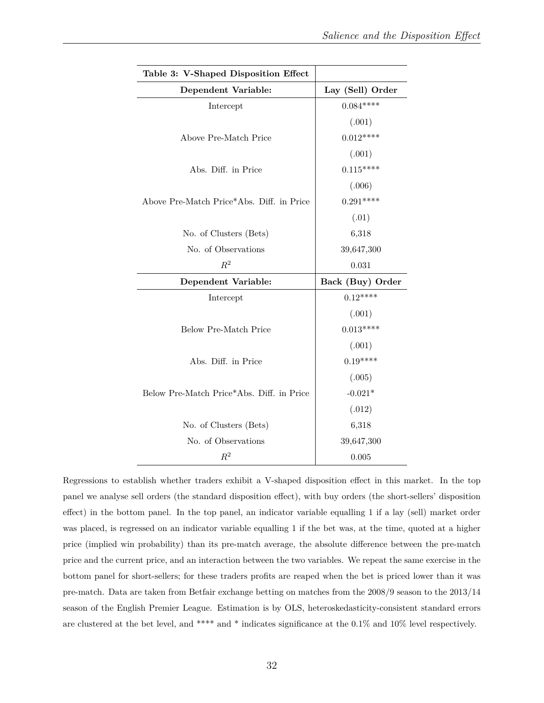| Table 3: V-Shaped Disposition Effect      |                  |
|-------------------------------------------|------------------|
| Dependent Variable:                       | Lay (Sell) Order |
| Intercept                                 | $0.084***$       |
|                                           | (.001)           |
| Above Pre-Match Price                     | $0.012***$       |
|                                           | (.001)           |
| Abs. Diff. in Price                       | $0.115***$       |
|                                           | (.006)           |
| Above Pre-Match Price*Abs. Diff. in Price | $0.291***$       |
|                                           | (.01)            |
| No. of Clusters (Bets)                    | 6,318            |
| No. of Observations                       | 39,647,300       |
| $R^2$                                     | 0.031            |
| Dependent Variable:                       | Back (Buy) Order |
| Intercept                                 | $0.12***$        |
|                                           | (.001)           |
| <b>Below Pre-Match Price</b>              | $0.013***$       |
|                                           | (.001)           |
| Abs. Diff. in Price                       | $0.19***$        |
|                                           | (.005)           |
| Below Pre-Match Price*Abs. Diff. in Price | $-0.021*$        |
|                                           | (.012)           |
| No. of Clusters (Bets)                    | 6,318            |
| No. of Observations                       | 39,647,300       |
| $R^2$                                     | 0.005            |

Regressions to establish whether traders exhibit a V-shaped disposition effect in this market. In the top panel we analyse sell orders (the standard disposition effect), with buy orders (the short-sellers' disposition effect) in the bottom panel. In the top panel, an indicator variable equalling 1 if a lay (sell) market order was placed, is regressed on an indicator variable equalling 1 if the bet was, at the time, quoted at a higher price (implied win probability) than its pre-match average, the absolute difference between the pre-match price and the current price, and an interaction between the two variables. We repeat the same exercise in the bottom panel for short-sellers; for these traders profits are reaped when the bet is priced lower than it was pre-match. Data are taken from Betfair exchange betting on matches from the 2008/9 season to the 2013/14 season of the English Premier League. Estimation is by OLS, heteroskedasticity-consistent standard errors are clustered at the bet level, and \*\*\*\* and \* indicates significance at the 0.1% and 10% level respectively.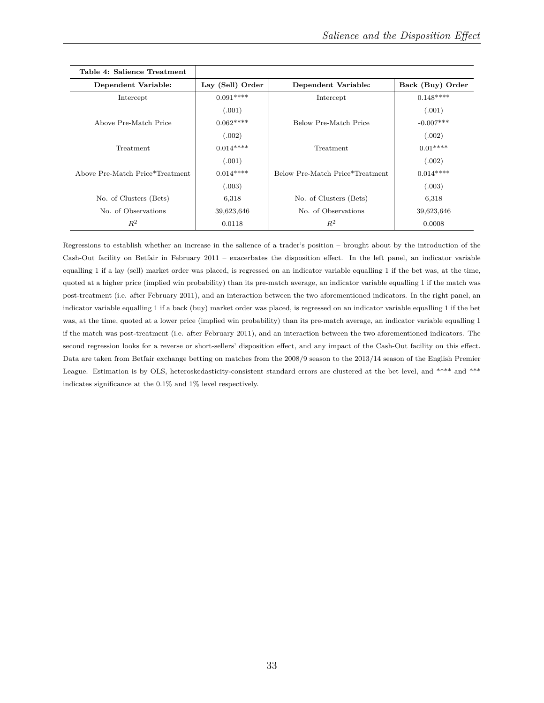| Table 4: Salience Treatment     |                  |                                 |                  |
|---------------------------------|------------------|---------------------------------|------------------|
| Dependent Variable:             | Lay (Sell) Order | Dependent Variable:             | Back (Buy) Order |
| Intercept                       | $0.091***$       | Intercept                       | $0.148***$       |
|                                 | (.001)           |                                 | (.001)           |
| Above Pre-Match Price           | $0.062***$       | Below Pre-Match Price           | $-0.007***$      |
|                                 | (.002)           |                                 | (.002)           |
| Treatment                       | $0.014***$       | Treatment                       | $0.01***$        |
|                                 | (.001)           |                                 | (.002)           |
| Above Pre-Match Price*Treatment | $0.014***$       | Below Pre-Match Price*Treatment | $0.014***$       |
|                                 | (.003)           |                                 | (.003)           |
| No. of Clusters (Bets)          | 6,318            | No. of Clusters (Bets)          | 6,318            |
| No. of Observations             | 39,623,646       | No. of Observations             | 39,623,646       |
| $R^2$                           | 0.0118           | $R^2$                           | 0.0008           |

Regressions to establish whether an increase in the salience of a trader's position – brought about by the introduction of the Cash-Out facility on Betfair in February 2011 – exacerbates the disposition effect. In the left panel, an indicator variable equalling 1 if a lay (sell) market order was placed, is regressed on an indicator variable equalling 1 if the bet was, at the time, quoted at a higher price (implied win probability) than its pre-match average, an indicator variable equalling 1 if the match was post-treatment (i.e. after February 2011), and an interaction between the two aforementioned indicators. In the right panel, an indicator variable equalling 1 if a back (buy) market order was placed, is regressed on an indicator variable equalling 1 if the bet was, at the time, quoted at a lower price (implied win probability) than its pre-match average, an indicator variable equalling 1 if the match was post-treatment (i.e. after February 2011), and an interaction between the two aforementioned indicators. The second regression looks for a reverse or short-sellers' disposition effect, and any impact of the Cash-Out facility on this effect. Data are taken from Betfair exchange betting on matches from the 2008/9 season to the 2013/14 season of the English Premier League. Estimation is by OLS, heteroskedasticity-consistent standard errors are clustered at the bet level, and \*\*\*\* and \*\*\* indicates significance at the 0.1% and 1% level respectively.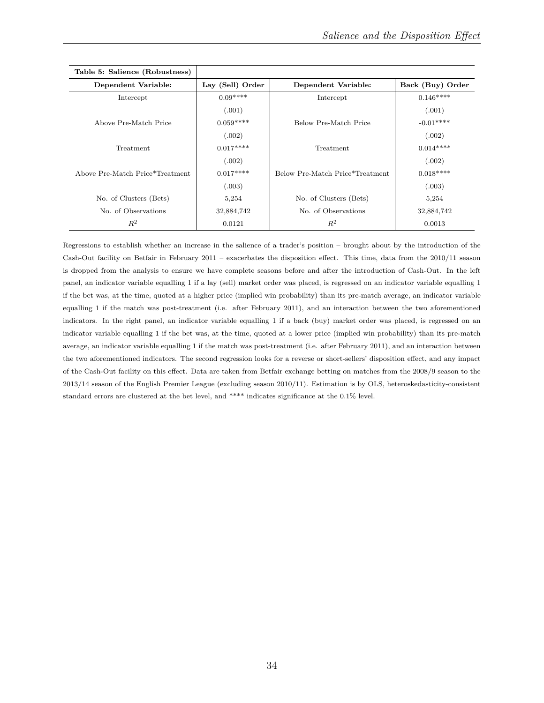| Table 5: Salience (Robustness)  |                  |                                 |                  |
|---------------------------------|------------------|---------------------------------|------------------|
| Dependent Variable:             | Lay (Sell) Order | Dependent Variable:             | Back (Buy) Order |
| Intercept                       | $0.09***$        | Intercept                       | $0.146***$       |
|                                 | (.001)           |                                 | (.001)           |
| Above Pre-Match Price           | $0.059***$       | Below Pre-Match Price           | $-0.01***$       |
|                                 | (.002)           |                                 | (.002)           |
| Treatment                       | $0.017***$       | Treatment                       | $0.014***$       |
|                                 | (.002)           |                                 | (.002)           |
| Above Pre-Match Price*Treatment | $0.017***$       | Below Pre-Match Price*Treatment | $0.018***$       |
|                                 | (.003)           |                                 | (.003)           |
| No. of Clusters (Bets)          | 5,254            | No. of Clusters (Bets)          | 5,254            |
| No. of Observations             | 32,884,742       | No. of Observations             | 32,884,742       |
| $\mathbb{R}^2$                  | 0.0121           | $R^2$                           | 0.0013           |

Regressions to establish whether an increase in the salience of a trader's position – brought about by the introduction of the Cash-Out facility on Betfair in February 2011 – exacerbates the disposition effect. This time, data from the 2010/11 season is dropped from the analysis to ensure we have complete seasons before and after the introduction of Cash-Out. In the left panel, an indicator variable equalling 1 if a lay (sell) market order was placed, is regressed on an indicator variable equalling 1 if the bet was, at the time, quoted at a higher price (implied win probability) than its pre-match average, an indicator variable equalling 1 if the match was post-treatment (i.e. after February 2011), and an interaction between the two aforementioned indicators. In the right panel, an indicator variable equalling 1 if a back (buy) market order was placed, is regressed on an indicator variable equalling 1 if the bet was, at the time, quoted at a lower price (implied win probability) than its pre-match average, an indicator variable equalling 1 if the match was post-treatment (i.e. after February 2011), and an interaction between the two aforementioned indicators. The second regression looks for a reverse or short-sellers' disposition effect, and any impact of the Cash-Out facility on this effect. Data are taken from Betfair exchange betting on matches from the 2008/9 season to the 2013/14 season of the English Premier League (excluding season 2010/11). Estimation is by OLS, heteroskedasticity-consistent standard errors are clustered at the bet level, and \*\*\*\* indicates significance at the 0.1% level.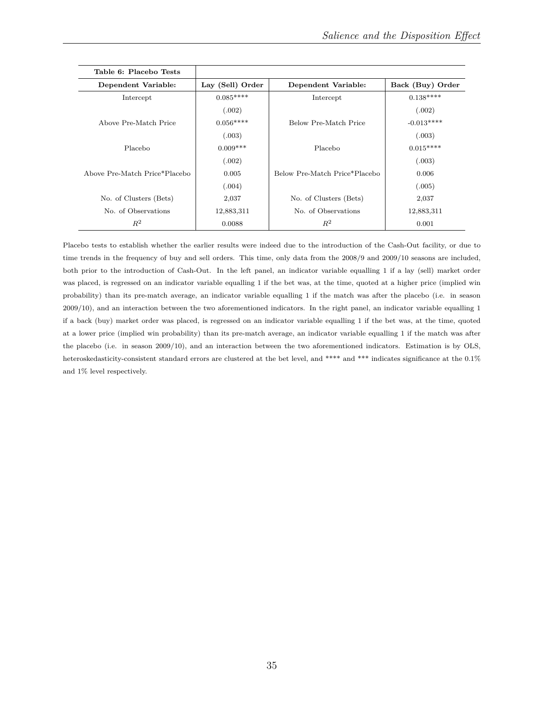| Table 6: Placebo Tests        |                  |                               |                  |
|-------------------------------|------------------|-------------------------------|------------------|
| Dependent Variable:           | Lay (Sell) Order | Dependent Variable:           | Back (Buy) Order |
| Intercept                     | $0.085***$       | Intercept                     | $0.138***$       |
|                               | (.002)           |                               | (.002)           |
| Above Pre-Match Price         | $0.056***$       | Below Pre-Match Price         | $-0.013***$      |
|                               | (.003)           |                               | (.003)           |
| Placebo                       | $0.009***$       | Placebo                       | $0.015***$       |
|                               | (.002)           |                               | (.003)           |
| Above Pre-Match Price*Placebo | 0.005            | Below Pre-Match Price*Placebo | 0.006            |
|                               | (.004)           |                               | (.005)           |
| No. of Clusters (Bets)        | 2,037            | No. of Clusters (Bets)        | 2,037            |
| No. of Observations           | 12,883,311       | No. of Observations           | 12,883,311       |
| $R^2$                         | 0.0088           | $R^2$                         | 0.001            |

Placebo tests to establish whether the earlier results were indeed due to the introduction of the Cash-Out facility, or due to time trends in the frequency of buy and sell orders. This time, only data from the 2008/9 and 2009/10 seasons are included, both prior to the introduction of Cash-Out. In the left panel, an indicator variable equalling 1 if a lay (sell) market order was placed, is regressed on an indicator variable equalling 1 if the bet was, at the time, quoted at a higher price (implied win probability) than its pre-match average, an indicator variable equalling 1 if the match was after the placebo (i.e. in season 2009/10), and an interaction between the two aforementioned indicators. In the right panel, an indicator variable equalling 1 if a back (buy) market order was placed, is regressed on an indicator variable equalling 1 if the bet was, at the time, quoted at a lower price (implied win probability) than its pre-match average, an indicator variable equalling 1 if the match was after the placebo (i.e. in season 2009/10), and an interaction between the two aforementioned indicators. Estimation is by OLS, heteroskedasticity-consistent standard errors are clustered at the bet level, and \*\*\*\* and \*\*\*\* indicates significance at the 0.1% and 1% level respectively.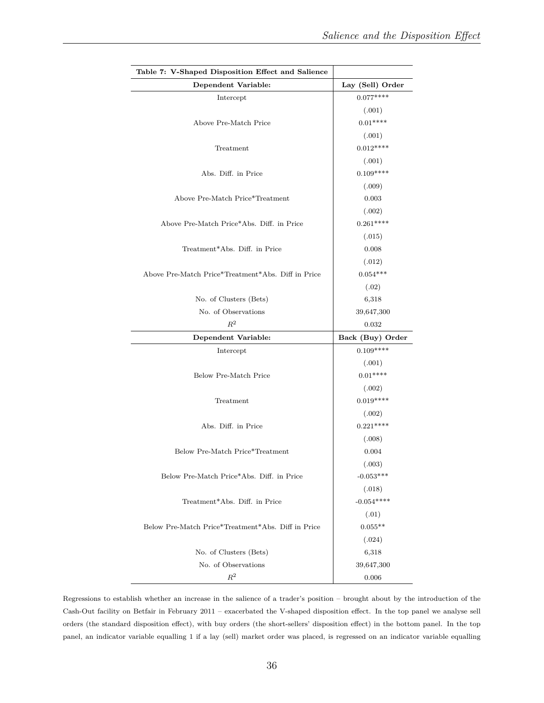| Dependent Variable:                                | Lay (Sell) Order     |
|----------------------------------------------------|----------------------|
| Intercept                                          | $0.077***$           |
|                                                    | (.001)               |
| Above Pre-Match Price                              | $0.01***$            |
|                                                    | (.001)               |
| Treatment                                          | $0.012***$           |
|                                                    | (.001)               |
| Abs. Diff. in Price                                | $0.109***$           |
|                                                    | (.009)               |
| Above Pre-Match Price*Treatment                    | 0.003                |
|                                                    | (.002)               |
| Above Pre-Match Price*Abs. Diff. in Price          | $0.261***$           |
|                                                    | (.015)               |
| Treatment*Abs. Diff. in Price                      | 0.008                |
|                                                    | (.012)               |
| Above Pre-Match Price*Treatment*Abs. Diff in Price | $0.054***$           |
|                                                    | (.02)                |
| No. of Clusters (Bets)                             | 6,318                |
| No. of Observations                                | 39,647,300           |
| $R^2$                                              | 0.032                |
| Dependent Variable:                                | Back (Buy) Order     |
| Intercept                                          | $0.109***$           |
|                                                    | (.001)               |
|                                                    |                      |
| Below Pre-Match Price                              | $0.01***$            |
|                                                    |                      |
| Treatment                                          | (.002)               |
|                                                    | $0.019***$           |
| Abs. Diff. in Price                                | (.002)<br>$0.221***$ |
|                                                    |                      |
| Below Pre-Match Price*Treatment                    | (.008)<br>0.004      |
|                                                    |                      |
|                                                    | (.003)               |
| Below Pre-Match Price*Abs. Diff. in Price          | $-0.053***$          |
| Treatment*Abs. Diff. in Price                      | (.018)               |
|                                                    | $-0.054***$          |
|                                                    | (.01)<br>$0.055**$   |
| Below Pre-Match Price*Treatment*Abs. Diff in Price |                      |
|                                                    | (.024)               |
| No. of Clusters (Bets)<br>No. of Observations      | 6,318<br>39,647,300  |

Regressions to establish whether an increase in the salience of a trader's position – brought about by the introduction of the Cash-Out facility on Betfair in February 2011 – exacerbated the V-shaped disposition effect. In the top panel we analyse sell orders (the standard disposition effect), with buy orders (the short-sellers' disposition effect) in the bottom panel. In the top panel, an indicator variable equalling 1 if a lay (sell) market order was placed, is regressed on an indicator variable equalling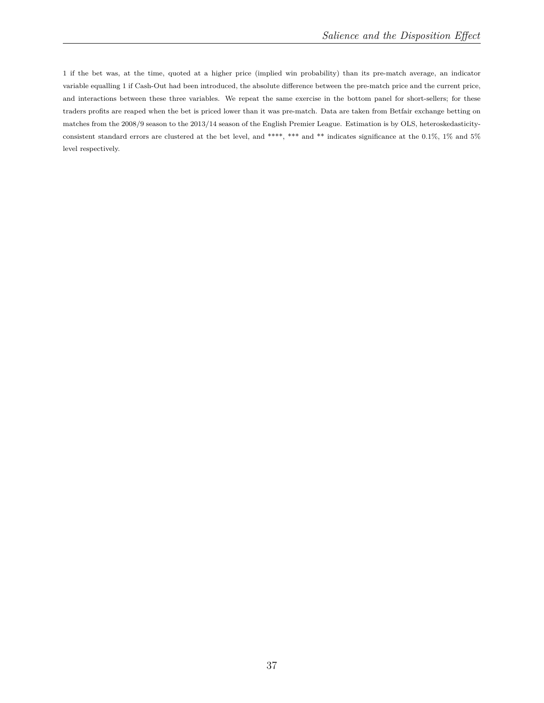1 if the bet was, at the time, quoted at a higher price (implied win probability) than its pre-match average, an indicator variable equalling 1 if Cash-Out had been introduced, the absolute difference between the pre-match price and the current price, and interactions between these three variables. We repeat the same exercise in the bottom panel for short-sellers; for these traders profits are reaped when the bet is priced lower than it was pre-match. Data are taken from Betfair exchange betting on matches from the 2008/9 season to the 2013/14 season of the English Premier League. Estimation is by OLS, heteroskedasticityconsistent standard errors are clustered at the bet level, and \*\*\*\*, \*\*\* and \*\* indicates significance at the 0.1%, 1% and 5% level respectively.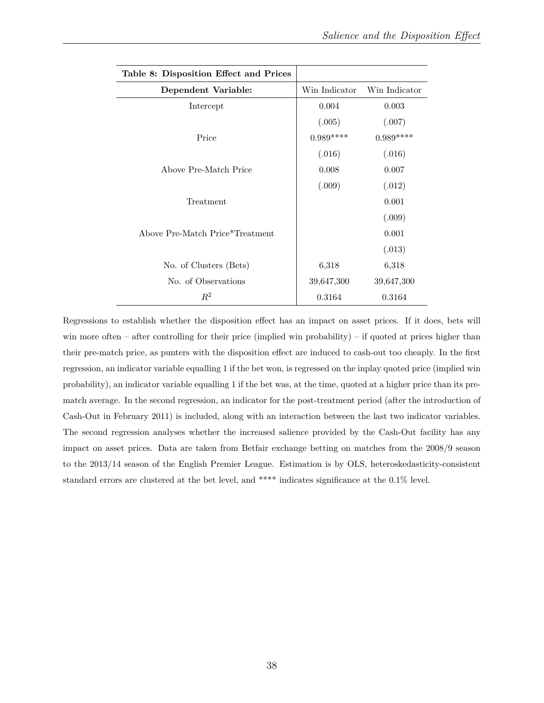| Table 8: Disposition Effect and Prices |               |               |
|----------------------------------------|---------------|---------------|
| Dependent Variable:                    | Win Indicator | Win Indicator |
| Intercept                              | 0.004         | 0.003         |
|                                        | (.005)        | (.007)        |
| Price                                  | $0.989***$    | $0.989***$    |
|                                        | (.016)        | (.016)        |
| Above Pre-Match Price                  | 0.008         | 0.007         |
|                                        | (.009)        | (.012)        |
| Treatment                              |               | 0.001         |
|                                        |               | (.009)        |
| Above Pre-Match Price*Treatment        |               | 0.001         |
|                                        |               | (.013)        |
| No. of Clusters (Bets)                 | 6,318         | 6,318         |
| No. of Observations                    | 39,647,300    | 39,647,300    |
| $R^2$                                  | 0.3164        | 0.3164        |

Regressions to establish whether the disposition effect has an impact on asset prices. If it does, bets will win more often – after controlling for their price (implied win probability) – if quoted at prices higher than their pre-match price, as punters with the disposition effect are induced to cash-out too cheaply. In the first regression, an indicator variable equalling 1 if the bet won, is regressed on the inplay quoted price (implied win probability), an indicator variable equalling 1 if the bet was, at the time, quoted at a higher price than its prematch average. In the second regression, an indicator for the post-treatment period (after the introduction of Cash-Out in February 2011) is included, along with an interaction between the last two indicator variables. The second regression analyses whether the increased salience provided by the Cash-Out facility has any impact on asset prices. Data are taken from Betfair exchange betting on matches from the 2008/9 season to the 2013/14 season of the English Premier League. Estimation is by OLS, heteroskedasticity-consistent standard errors are clustered at the bet level, and \*\*\*\* indicates significance at the 0.1% level.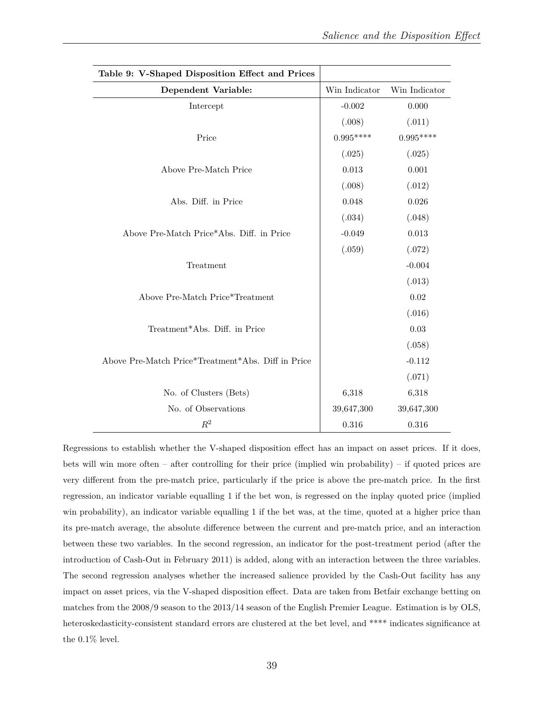| Table 9: V-Shaped Disposition Effect and Prices    |               |               |
|----------------------------------------------------|---------------|---------------|
| Dependent Variable:                                | Win Indicator | Win Indicator |
| Intercept                                          | $-0.002$      | 0.000         |
|                                                    | (.008)        | (.011)        |
| Price                                              | $0.995***$    | $0.995***$    |
|                                                    | (.025)        | (.025)        |
| Above Pre-Match Price                              | 0.013         | 0.001         |
|                                                    | (.008)        | (.012)        |
| Abs. Diff. in Price                                | 0.048         | 0.026         |
|                                                    | (.034)        | (.048)        |
| Above Pre-Match Price*Abs. Diff. in Price          | $-0.049$      | 0.013         |
|                                                    | (.059)        | (.072)        |
| Treatment                                          |               | $-0.004$      |
|                                                    |               | (.013)        |
| Above Pre-Match Price*Treatment                    |               | 0.02          |
|                                                    |               | (.016)        |
| Treatment*Abs. Diff. in Price                      |               | 0.03          |
|                                                    |               | (.058)        |
| Above Pre-Match Price*Treatment*Abs. Diff in Price |               | $-0.112$      |
|                                                    |               | (.071)        |
| No. of Clusters (Bets)                             | 6,318         | 6,318         |
| No. of Observations                                | 39,647,300    | 39,647,300    |
| $R^2$                                              | 0.316         | 0.316         |

Regressions to establish whether the V-shaped disposition effect has an impact on asset prices. If it does, bets will win more often – after controlling for their price (implied win probability) – if quoted prices are very different from the pre-match price, particularly if the price is above the pre-match price. In the first regression, an indicator variable equalling 1 if the bet won, is regressed on the inplay quoted price (implied win probability), an indicator variable equalling 1 if the bet was, at the time, quoted at a higher price than its pre-match average, the absolute difference between the current and pre-match price, and an interaction between these two variables. In the second regression, an indicator for the post-treatment period (after the introduction of Cash-Out in February 2011) is added, along with an interaction between the three variables. The second regression analyses whether the increased salience provided by the Cash-Out facility has any impact on asset prices, via the V-shaped disposition effect. Data are taken from Betfair exchange betting on matches from the 2008/9 season to the 2013/14 season of the English Premier League. Estimation is by OLS, heteroskedasticity-consistent standard errors are clustered at the bet level, and \*\*\*\* indicates significance at the 0.1% level.